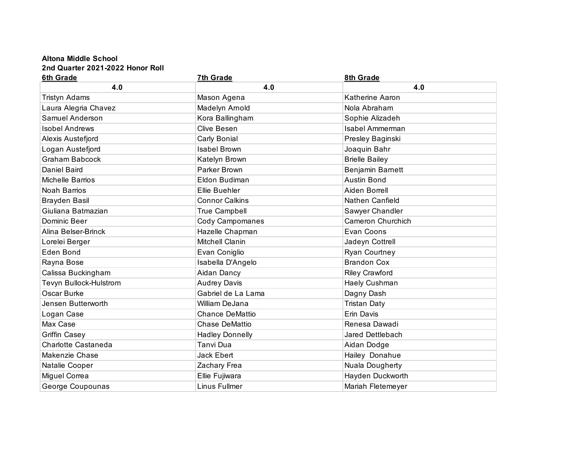## **Altona Middle School 2nd Quarter 2021-2022 Honor Roll**

| 6th Grade              | 7th Grade              | 8th Grade             |
|------------------------|------------------------|-----------------------|
| 4.0                    | 4.0                    | 4.0                   |
| <b>Tristyn Adams</b>   | Mason Agena            | Katherine Aaron       |
| Laura Alegria Chavez   | Madelyn Arnold         | Nola Abraham          |
| Samuel Anderson        | Kora Ballingham        | Sophie Alizadeh       |
| <b>Isobel Andrews</b>  | <b>Clive Besen</b>     | Isabel Ammerman       |
| Alexis Austefjord      | Carly Bonial           | Presley Baginski      |
| Logan Austefjord       | <b>Isabel Brown</b>    | Joaquin Bahr          |
| <b>Graham Babcock</b>  | Katelyn Brown          | <b>Brielle Bailey</b> |
| <b>Daniel Baird</b>    | Parker Brown           | Benjamin Barnett      |
| Michelle Barrios       | Eldon Budiman          | <b>Austin Bond</b>    |
| <b>Noah Barrios</b>    | Ellie Buehler          | Aiden Borrell         |
| <b>Brayden Basil</b>   | <b>Connor Calkins</b>  | Nathen Canfield       |
| Giuliana Batmazian     | <b>True Campbell</b>   | Sawyer Chandler       |
| Dominic Beer           | Cody Campomanes        | Cameron Churchich     |
| Alina Belser-Brinck    | Hazelle Chapman        | Evan Coons            |
| Lorelei Berger         | Mitchell Clanin        | Jadeyn Cottrell       |
| Eden Bond              | Evan Coniglio          | Ryan Courtney         |
| Rayna Bose             | Isabella D'Angelo      | <b>Brandon Cox</b>    |
| Calissa Buckingham     | Aidan Dancy            | <b>Riley Crawford</b> |
| Tevyn Bullock-Hulstrom | <b>Audrey Davis</b>    | Haely Cushman         |
| Oscar Burke            | Gabriel de La Lama     | Dagny Dash            |
| Jensen Butterworth     | William DeJana         | <b>Tristan Daty</b>   |
| Logan Case             | <b>Chance DeMattio</b> | Erin Davis            |
| Max Case               | <b>Chase DeMattio</b>  | Renesa Dawadi         |
| <b>Griffin Casey</b>   | <b>Hadley Donnelly</b> | Jared Dettlebach      |
| Charlotte Castaneda    | Tanvi Dua              | Aidan Dodge           |
| Makenzie Chase         | Jack Ebert             | Hailey Donahue        |
| Natalie Cooper         | Zachary Frea           | Nuala Dougherty       |
| Miguel Correa          | Ellie Fujiwara         | Hayden Duckworth      |
| George Coupounas       | Linus Fullmer          | Mariah Fletemeyer     |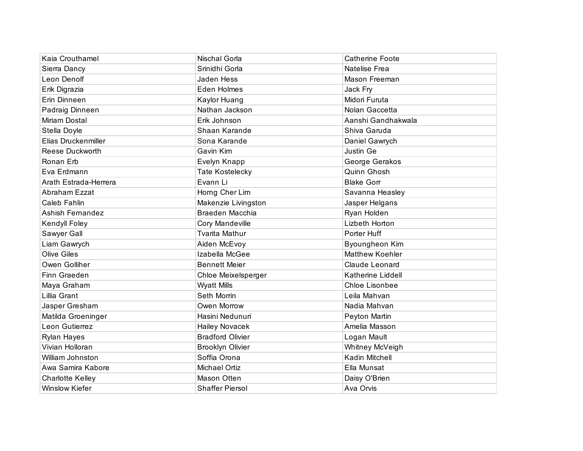| Kaia Crouthamel       | Nischal Gorla           | <b>Catherine Foote</b> |
|-----------------------|-------------------------|------------------------|
| Sierra Dancy          | Srinidhi Gorla          | Natelise Frea          |
| Leon Denolf           | Jaden Hess              | Mason Freeman          |
| Erik Digrazia         | Eden Holmes             | Jack Fry               |
| Erin Dinneen          | Kaylor Huang            | Midori Furuta          |
| Padraig Dinneen       | Nathan Jackson          | Nolan Gaccetta         |
| Miriam Dostal         | Erik Johnson            | Aanshi Gandhakwala     |
| Stella Doyle          | Shaan Karande           | Shiva Garuda           |
| Elias Druckenmiller   | Sona Karande            | Daniel Gawrych         |
| Reese Duckworth       | Gavin Kim               | Justin Ge              |
| Ronan Erb             | Evelyn Knapp            | George Gerakos         |
| Eva Erdmann           | <b>Tate Kostelecky</b>  | Quinn Ghosh            |
| Arath Estrada-Herrera | Evann Li                | <b>Blake Gorr</b>      |
| Abraham Ezzat         | Horng Cher Lim          | Savanna Heasley        |
| <b>Caleb Fahlin</b>   | Makenzie Livingston     | Jasper Helgans         |
| Ashish Fernandez      | Braeden Macchia         | Ryan Holden            |
| Kendyll Foley         | Cory Mandeville         | Lizbeth Horton         |
| Sawyer Gall           | <b>Tvarita Mathur</b>   | Porter Huff            |
| Liam Gawrych          | Aiden McEvoy            | Byoungheon Kim         |
| <b>Olive Giles</b>    | Izabella McGee          | <b>Matthew Koehler</b> |
| Owen Golliher         | <b>Bennett Meier</b>    | Claude Leonard         |
| Finn Graeden          | Chloe Meixelsperger     | Katherine Liddell      |
| Maya Graham           | <b>Wyatt Mills</b>      | <b>Chloe Lisonbee</b>  |
| Lillia Grant          | Seth Morrin             | Leila Mahvan           |
| Jasper Gresham        | Owen Morrow             | Nadia Mahvan           |
| Matilda Groeninger    | Hasini Nedunuri         | Peyton Martin          |
| Leon Gutierrez        | <b>Hailey Novacek</b>   | Amelia Masson          |
| <b>Rylan Hayes</b>    | <b>Bradford Olivier</b> | Logan Mault            |
| Vivian Holloran       | <b>Brooklyn Olivier</b> | Whitney McVeigh        |
| William Johnston      | Soffia Orona            | Kadin Mitchell         |
| Awa Samira Kabore     | Michael Ortiz           | Ella Munsat            |
| Charlotte Kelley      | Mason Otten             | Daisy O'Brien          |
| Winslow Kiefer        | <b>Shaffer Piersol</b>  | Ava Orvis              |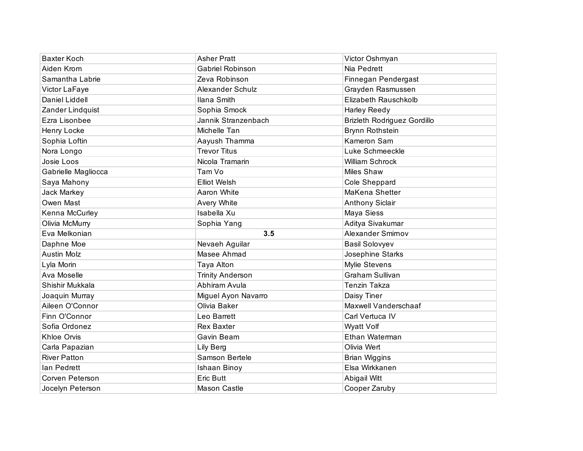| <b>Baxter Koch</b>  | <b>Asher Pratt</b>      | Victor Oshmyan                     |
|---------------------|-------------------------|------------------------------------|
| Aiden Krom          | Gabriel Robinson        | Nia Pedrett                        |
| Samantha Labrie     | Zeva Robinson           | Finnegan Pendergast                |
| Victor LaFaye       | Alexander Schulz        | Grayden Rasmussen                  |
| Daniel Liddell      | Ilana Smith             | Elizabeth Rauschkolb               |
| Zander Lindquist    | Sophia Smock            | Harley Reedy                       |
| Ezra Lisonbee       | Jannik Stranzenbach     | <b>Brizleth Rodriguez Gordillo</b> |
| Henry Locke         | Michelle Tan            | Brynn Rothstein                    |
| Sophia Loftin       | Aayush Thamma           | Kameron Sam                        |
| Nora Longo          | <b>Trevor Titus</b>     | Luke Schmeeckle                    |
| Josie Loos          | Nicola Tramarin         | William Schrock                    |
| Gabrielle Magliocca | Tam Vo                  | <b>Miles Shaw</b>                  |
| Saya Mahony         | <b>Elliot Welsh</b>     | Cole Sheppard                      |
| Jack Markey         | Aaron White             | MaKena Shetter                     |
| Owen Mast           | Avery White             | <b>Anthony Siclair</b>             |
| Kenna McCurley      | Isabella Xu             | Maya Siess                         |
|                     |                         |                                    |
| Olivia McMurry      | Sophia Yang             | Aditya Sivakumar                   |
| Eva Melkonian       | 3.5                     | Alexander Smirnov                  |
| Daphne Moe          | Nevaeh Aguilar          | <b>Basil Solovyev</b>              |
| <b>Austin Molz</b>  | Masee Ahmad             | Josephine Starks                   |
| Lyla Morin          | Taya Alton              | Mylie Stevens                      |
| Ava Moselle         | <b>Trinity Anderson</b> | <b>Graham Sullivan</b>             |
| Shishir Mukkala     | Abhiram Avula           | Tenzin Takza                       |
| Joaquin Murray      | Miguel Ayon Navarro     | Daisy Tiner                        |
| Aileen O'Connor     | Olivia Baker            | Maxwell Vanderschaaf               |
| Finn O'Connor       | Leo Barrett             | Carl Vertuca IV                    |
| Sofia Ordonez       | <b>Rex Baxter</b>       | Wyatt Volf                         |
| Khloe Orvis         | Gavin Beam              | Ethan Waterman                     |
| Carla Papazian      | Lily Berg               | Olivia Wert                        |
| <b>River Patton</b> | Samson Bertele          | <b>Brian Wiggins</b>               |
| lan Pedrett         | Ishaan Binoy            | Elsa Wirkkanen                     |
| Corven Peterson     | <b>Eric Butt</b>        | Abigail Witt                       |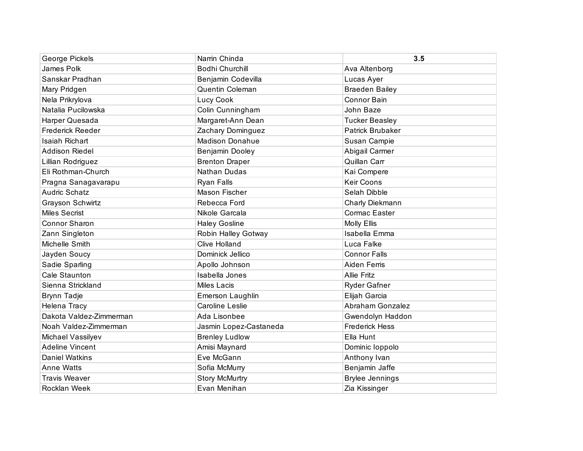| George Pickels          | Narrin Chinda          | 3.5                     |
|-------------------------|------------------------|-------------------------|
| James Polk              | <b>Bodhi Churchill</b> | Ava Altenborg           |
| Sanskar Pradhan         | Benjamin Codevilla     | Lucas Ayer              |
| Mary Pridgen            | <b>Quentin Coleman</b> | <b>Braeden Bailey</b>   |
| Nela Prikrylova         | Lucy Cook              | <b>Connor Bain</b>      |
| Natalia Pucilowska      | Colin Cunningham       | John Baze               |
| Harper Quesada          | Margaret-Ann Dean      | <b>Tucker Beasley</b>   |
| Frederick Reeder        | Zachary Dominguez      | <b>Patrick Brubaker</b> |
| <b>Isaiah Richart</b>   | <b>Madison Donahue</b> | Susan Campie            |
| Addison Riedel          | Benjamin Dooley        | Abigail Carmer          |
| Lillian Rodriguez       | <b>Brenton Draper</b>  | Quillan Carr            |
| Eli Rothman-Church      | <b>Nathan Dudas</b>    | Kai Compere             |
| Pragna Sanagavarapu     | Ryan Falls             | <b>Keir Coons</b>       |
| <b>Audric Schatz</b>    | Mason Fischer          | Selah Dibble            |
| Grayson Schwirtz        | Rebecca Ford           | Charly Diekmann         |
| <b>Miles Secrist</b>    | Nikole Garcala         | Cormac Easter           |
| Connor Sharon           | <b>Haley Gosline</b>   | <b>Molly Ellis</b>      |
| Zann Singleton          | Robin Halley Gotway    | Isabella Emma           |
| Michelle Smith          | <b>Clive Holland</b>   | Luca Falke              |
| Jayden Soucy            | Dominick Jellico       | <b>Connor Falls</b>     |
| Sadie Sparling          | Apollo Johnson         | Aiden Ferris            |
| Cale Staunton           | Isabella Jones         | <b>Allie Fritz</b>      |
| Sienna Strickland       | <b>Miles Lacis</b>     | <b>Ryder Gafner</b>     |
| <b>Brynn Tadje</b>      | Emerson Laughlin       | Elijah Garcia           |
| Helena Tracy            | <b>Caroline Leslie</b> | Abraham Gonzalez        |
| Dakota Valdez-Zimmerman | Ada Lisonbee           | Gwendolyn Haddon        |
| Noah Valdez-Zimmerman   | Jasmin Lopez-Castaneda | <b>Frederick Hess</b>   |
| Michael Vassilyev       | <b>Brenley Ludlow</b>  | Ella Hunt               |
| <b>Adeline Vincent</b>  | Amisi Maynard          | Dominic loppolo         |
| <b>Daniel Watkins</b>   | Eve McGann             | Anthony Ivan            |
| <b>Anne Watts</b>       | Sofia McMurry          | Benjamin Jaffe          |
| <b>Travis Weaver</b>    | <b>Story McMurtry</b>  | <b>Brylee Jennings</b>  |
| <b>Rocklan Week</b>     | Evan Menihan           | Zia Kissinger           |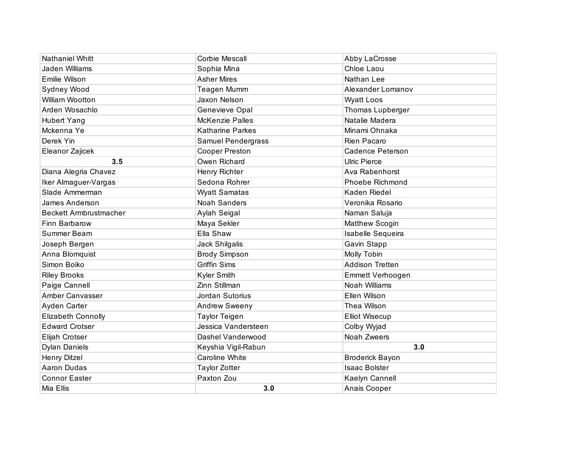| <b>Nathaniel Whitt</b>        | Corbie Mescall          | Abby LaCrosse           |
|-------------------------------|-------------------------|-------------------------|
| Jaden Williams                | Sophia Mina             | Chloe Laou              |
| Emilie Wilson                 | <b>Asher Mires</b>      | Nathan Lee              |
| Sydney Wood                   | Teagen Mumm             | Alexander Lomanov       |
| William Wootton               | Jaxon Nelson            | <b>Wyatt Loos</b>       |
| Arden Wosachlo                | Genevieve Opal          | Thomas Lupberger        |
| <b>Hubert Yang</b>            | McKenzie Palles         | Natalie Madera          |
| Mckenna Ye                    | <b>Katharine Parkes</b> | Minami Ohnaka           |
| Derek Yin                     | Samuel Pendergrass      | Rien Pacaro             |
| Eleanor Zajicek               | Cooper Preston          | <b>Cadence Peterson</b> |
| 3.5                           | Owen Richard            | <b>Ulric Pierce</b>     |
| Diana Alegria Chavez          | Henry Richter           | Ava Rabenhorst          |
| Iker Almaguer-Vargas          | Sedona Rohrer           | Phoebe Richmond         |
| Slade Ammerman                | <b>Wyatt Samatas</b>    | Kaden Riedel            |
| James Anderson                | <b>Noah Sanders</b>     | Veronika Rosario        |
| <b>Beckett Armbrustmacher</b> | Aylah Seigal            | Naman Saluja            |
| Finn Barbarow                 | Maya Sekler             | Matthew Scogin          |
| Summer Beam                   | Ella Shaw               | Isabelle Sequeira       |
| Joseph Bergen                 | Jack Shilgalis          | Gavin Stapp             |
| Anna Blomquist                | <b>Brody Simpson</b>    | Molly Tobin             |
| Simon Boiko                   | <b>Griffin Sims</b>     | <b>Addison Tretten</b>  |
| <b>Riley Brooks</b>           | Kyler Smith             | <b>Emmett Verhoogen</b> |
| Paige Cannell                 | Zinn Stillman           | Noah Williams           |
| <b>Amber Canvasser</b>        | Jordan Sutorius         | Ellen Wilson            |
| Ayden Carter                  | <b>Andrew Sweeny</b>    | Thea Wilson             |
| <b>Elizabeth Connolly</b>     | <b>Taylor Teigen</b>    | <b>Elliot Wisecup</b>   |
| <b>Edward Crotser</b>         | Jessica Vandersteen     | Colby Wyjad             |
| Elijah Crotser                | Dashel Vanderwood       | Noah Zweers             |
| <b>Dylan Daniels</b>          | Keyshia Vigil-Rabun     | 3.0                     |
| <b>Henry Ditzel</b>           | Caroline White          | <b>Broderick Bayon</b>  |
| Aaron Dudas                   | <b>Taylor Zotter</b>    | <b>Isaac Bolster</b>    |
| <b>Connor Easter</b>          | Paxton Zou              | Kaelyn Cannell          |
| Mia Ellis                     | 3.0                     | Anais Cooper            |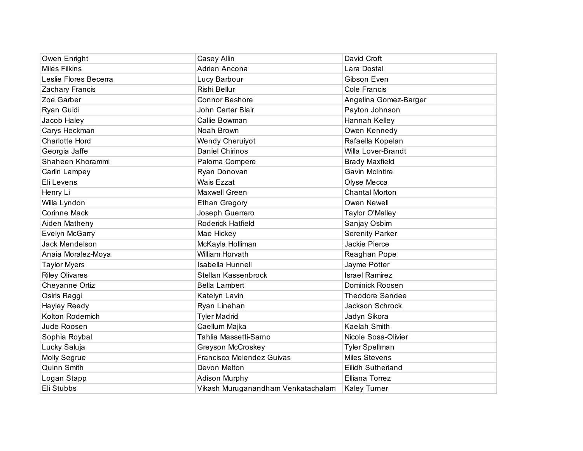| Owen Enright          | Casey Allin                        | David Croft              |
|-----------------------|------------------------------------|--------------------------|
| <b>Miles Filkins</b>  | Adrien Ancona                      | Lara Dostal              |
| Leslie Flores Becerra | Lucy Barbour                       | Gibson Even              |
| Zachary Francis       | Rishi Bellur                       | Cole Francis             |
| Zoe Garber            | <b>Connor Beshore</b>              | Angelina Gomez-Barger    |
| Ryan Guidi            | John Carter Blair                  | Payton Johnson           |
| Jacob Haley           | Callie Bowman                      | Hannah Kelley            |
| Carys Heckman         | Noah Brown                         | Owen Kennedy             |
| <b>Charlotte Hord</b> | <b>Wendy Cheruiyot</b>             | Rafaella Kopelan         |
| Georgia Jaffe         | <b>Daniel Chirinos</b>             | Willa Lover-Brandt       |
| Shaheen Khorammi      | Paloma Compere                     | <b>Brady Maxfield</b>    |
| Carlin Lampey         | Ryan Donovan                       | <b>Gavin McIntire</b>    |
| Eli Levens            | <b>Wais Ezzat</b>                  | Olyse Mecca              |
| Henry Li              | Maxwell Green                      | <b>Chantal Morton</b>    |
| Willa Lyndon          | <b>Ethan Gregory</b>               | Owen Newell              |
| <b>Corinne Mack</b>   | Joseph Guerrero                    | Taylor O'Malley          |
| Aiden Matheny         | Roderick Hatfield                  | Sanjay Osbirn            |
| Evelyn McGarry        | Mae Hickey                         | <b>Serenity Parker</b>   |
| Jack Mendelson        | McKayla Holliman                   | Jackie Pierce            |
| Anaia Moralez-Moya    | William Horvath                    | Reaghan Pope             |
| <b>Taylor Myers</b>   | <b>Isabella Hunnell</b>            | Jayme Potter             |
| <b>Riley Olivares</b> | Stellan Kassenbrock                | <b>Israel Ramirez</b>    |
| Cheyanne Ortiz        | <b>Bella Lambert</b>               | Dominick Roosen          |
| Osiris Raggi          | Katelyn Lavin                      | <b>Theodore Sandee</b>   |
| Hayley Reedy          | Ryan Linehan                       | Jackson Schrock          |
| Kolton Rodemich       | <b>Tyler Madrid</b>                | Jadyn Sikora             |
| Jude Roosen           | Caellum Majka                      | Kaelah Smith             |
| Sophia Roybal         | Tahlia Massetti-Sarno              | Nicole Sosa-Olivier      |
| Lucky Saluja          | Greyson McCroskey                  | <b>Tyler Spellman</b>    |
| Molly Segrue          | Francisco Melendez Guivas          | <b>Miles Stevens</b>     |
| Quinn Smith           | Devon Melton                       | <b>Eilidh Sutherland</b> |
| Logan Stapp           | <b>Adison Murphy</b>               | Elliana Torrez           |
| Eli Stubbs            | Vikash Muruganandham Venkatachalam | <b>Kaley Turner</b>      |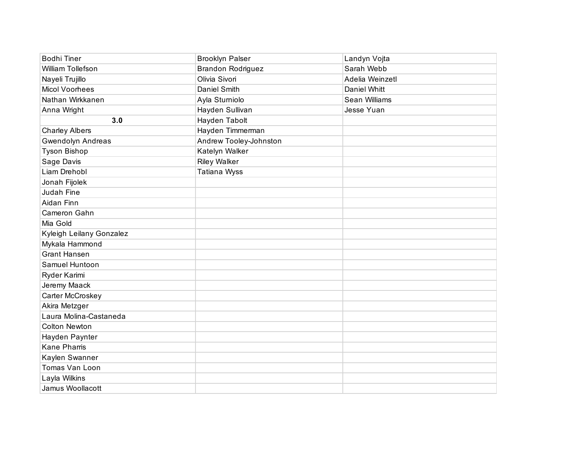| <b>Bodhi Tiner</b>       | <b>Brooklyn Palser</b>   | Landyn Vojta    |
|--------------------------|--------------------------|-----------------|
| William Tollefson        | <b>Brandon Rodriguez</b> | Sarah Webb      |
| Nayeli Trujillo          | Olivia Sivori            | Adelia Weinzetl |
| <b>Micol Voorhees</b>    | Daniel Smith             | Daniel Whitt    |
| Nathan Wirkkanen         | Ayla Sturniolo           | Sean Williams   |
| Anna Wright              | Hayden Sullivan          | Jesse Yuan      |
| 3.0                      | Hayden Tabolt            |                 |
| <b>Charley Albers</b>    | Hayden Timmerman         |                 |
| Gwendolyn Andreas        | Andrew Tooley-Johnston   |                 |
| Tyson Bishop             | Katelyn Walker           |                 |
| Sage Davis               | <b>Riley Walker</b>      |                 |
| Liam Drehobl             | Tatiana Wyss             |                 |
| Jonah Fijolek            |                          |                 |
| Judah Fine               |                          |                 |
| Aidan Finn               |                          |                 |
| Cameron Gahn             |                          |                 |
| Mia Gold                 |                          |                 |
| Kyleigh Leilany Gonzalez |                          |                 |
| Mykala Hammond           |                          |                 |
| <b>Grant Hansen</b>      |                          |                 |
| Samuel Huntoon           |                          |                 |
| Ryder Karimi             |                          |                 |
| Jeremy Maack             |                          |                 |
| Carter McCroskey         |                          |                 |
| Akira Metzger            |                          |                 |
| Laura Molina-Castaneda   |                          |                 |
| <b>Colton Newton</b>     |                          |                 |
| Hayden Paynter           |                          |                 |
| <b>Kane Pharris</b>      |                          |                 |
| Kaylen Swanner           |                          |                 |
| Tomas Van Loon           |                          |                 |
| Layla Wilkins            |                          |                 |
| Jamus Woollacott         |                          |                 |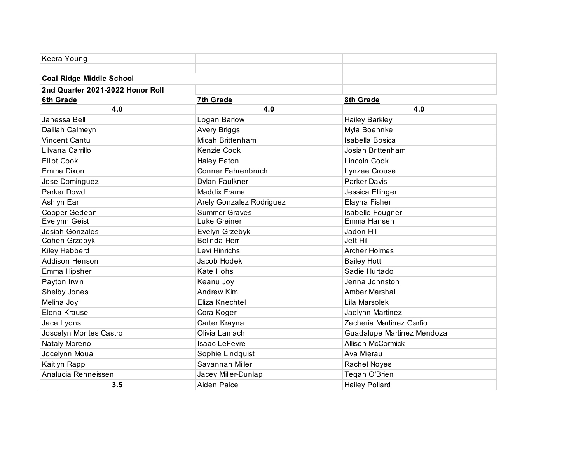| Keera Young                      |                           |                            |
|----------------------------------|---------------------------|----------------------------|
|                                  |                           |                            |
| <b>Coal Ridge Middle School</b>  |                           |                            |
| 2nd Quarter 2021-2022 Honor Roll |                           |                            |
| <b>6th Grade</b>                 | 7th Grade                 | 8th Grade                  |
| 4.0                              | 4.0                       | 4.0                        |
| Janessa Bell                     | Logan Barlow              | <b>Hailey Barkley</b>      |
| Dalilah Calmeyn                  | Avery Briggs              | Myla Boehnke               |
| <b>Vincent Cantu</b>             | Micah Brittenham          | <b>Isabella Bosica</b>     |
| Lilyana Carrillo                 | Kenzie Cook               | Josiah Brittenham          |
| <b>Elliot Cook</b>               | <b>Haley Eaton</b>        | Lincoln Cook               |
| Emma Dixon                       | <b>Conner Fahrenbruch</b> | Lynzee Crouse              |
| Jose Dominguez                   | Dylan Faulkner            | <b>Parker Davis</b>        |
| Parker Dowd                      | <b>Maddix Frame</b>       | Jessica Ellinger           |
| Ashlyn Ear                       | Arely Gonzalez Rodriguez  | Elayna Fisher              |
| Cooper Gedeon                    | <b>Summer Graves</b>      | <b>Isabelle Fougner</b>    |
| Evelynn Geist                    | Luke Greiner              | Emma Hansen                |
| <b>Josiah Gonzales</b>           | Evelyn Grzebyk            | Jadon Hill                 |
| Cohen Grzebyk                    | Belinda Herr              | <b>Jett Hill</b>           |
| Kiley Hebberd                    | Levi Hinrichs             | <b>Archer Holmes</b>       |
| Addison Henson                   | Jacob Hodek               | <b>Bailey Hott</b>         |
| Emma Hipsher                     | <b>Kate Hohs</b>          | Sadie Hurtado              |
| Payton Irwin                     | Keanu Joy                 | Jenna Johnston             |
| Shelby Jones                     | Andrew Kim                | Amber Marshall             |
| Melina Joy                       | Eliza Knechtel            | Lila Marsolek              |
| Elena Krause                     | Cora Koger                | Jaelynn Martinez           |
| Jace Lyons                       | Carter Krayna             | Zacheria Martinez Garfio   |
| Joscelyn Montes Castro           | Olivia Lamach             | Guadalupe Martinez Mendoza |
| Nataly Moreno                    | <b>Isaac LeFevre</b>      | <b>Allison McCormick</b>   |
| Jocelynn Moua                    | Sophie Lindquist          | Ava Mierau                 |
| Kaitlyn Rapp                     | Savannah Miller           | Rachel Noyes               |
| Analucia Renneissen              | Jacey Miller-Dunlap       | Tegan O'Brien              |
| 3.5                              | Aiden Paice               | <b>Hailey Pollard</b>      |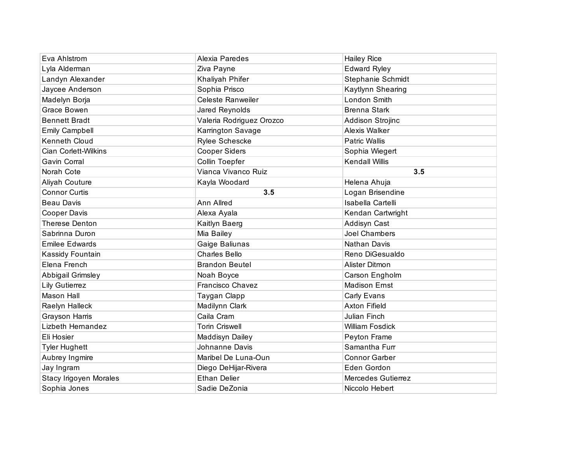| Eva Ahlstrom                | Alexia Paredes           | <b>Hailey Rice</b>     |
|-----------------------------|--------------------------|------------------------|
| Lyla Alderman               | Ziva Payne               | <b>Edward Ryley</b>    |
| Landyn Alexander            | Khaliyah Phifer          | Stephanie Schmidt      |
| Jaycee Anderson             | Sophia Prisco            | Kaytlynn Shearing      |
| Madelyn Borja               | <b>Celeste Ranweiler</b> | London Smith           |
| Grace Bowen                 | Jared Reynolds           | <b>Brenna Stark</b>    |
| <b>Bennett Bradt</b>        | Valeria Rodriguez Orozco | Addison Strojinc       |
| <b>Emily Campbell</b>       | Karrington Savage        | Alexis Walker          |
| Kenneth Cloud               | <b>Rylee Schescke</b>    | <b>Patric Wallis</b>   |
| <b>Cian Corlett-Wilkins</b> | <b>Cooper Siders</b>     | Sophia Wiegert         |
| Gavin Corral                | Collin Toepfer           | <b>Kendall Willis</b>  |
| Norah Cote                  | Vianca Vivanco Ruiz      | 3.5                    |
| Aliyah Couture              | Kayla Woodard            | Helena Ahuja           |
| <b>Connor Curtis</b>        | 3.5                      | Logan Brisendine       |
| <b>Beau Davis</b>           | Ann Allred               | Isabella Cartelli      |
| Cooper Davis                | Alexa Ayala              | Kendan Cartwright      |
| <b>Therese Denton</b>       | Kaitlyn Baerg            | Addisyn Cast           |
| Sabrinna Duron              | Mia Bailey               | <b>Joel Chambers</b>   |
| <b>Emilee Edwards</b>       | Gaige Baliunas           | Nathan Davis           |
| Kassidy Fountain            | <b>Charles Bello</b>     | Reno DiGesualdo        |
| Elena French                | <b>Brandon Beutel</b>    | Alister Ditmon         |
| Abbigail Grimsley           | Noah Boyce               | Carson Engholm         |
| <b>Lily Gutierrez</b>       | Francisco Chavez         | <b>Madison Ernst</b>   |
| <b>Mason Hall</b>           | Taygan Clapp             | Carly Evans            |
| Raelyn Halleck              | Madilynn Clark           | <b>Axton Fifield</b>   |
| Grayson Harris              | Caila Cram               | Julian Finch           |
| Lizbeth Hernandez           | <b>Torin Criswell</b>    | <b>William Fosdick</b> |
| Eli Hosier                  | Maddisyn Dailey          | Peyton Frame           |
| <b>Tyler Hughett</b>        | Johnanne Davis           | Samantha Furr          |
| Aubrey Ingmire              | Maribel De Luna-Oun      | <b>Connor Garber</b>   |
| Jay Ingram                  | Diego DeHijar-Rivera     | Eden Gordon            |
| Stacy Irigoyen Morales      | <b>Ethan Delier</b>      | Mercedes Gutierrez     |
| Sophia Jones                | Sadie DeZonia            | Niccolo Hebert         |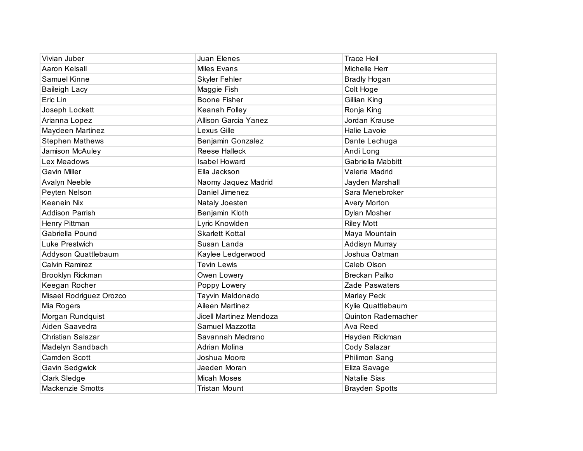| Vivian Juber            | Juan Elenes                 | <b>Trace Heil</b>         |
|-------------------------|-----------------------------|---------------------------|
| Aaron Kelsall           | <b>Miles Evans</b>          | Michelle Herr             |
| Samuel Kinne            | <b>Skyler Fehler</b>        | <b>Bradly Hogan</b>       |
| <b>Baileigh Lacy</b>    | Maggie Fish                 | Colt Hoge                 |
| Eric Lin                | <b>Boone Fisher</b>         | Gillian King              |
| Joseph Lockett          | Keanah Folley               | Ronja King                |
| Arianna Lopez           | <b>Allison Garcia Yanez</b> | Jordan Krause             |
| Maydeen Martinez        | Lexus Gille                 | Halie Lavoie              |
| <b>Stephen Mathews</b>  | Benjamin Gonzalez           | Dante Lechuga             |
| Jamison McAuley         | <b>Reese Halleck</b>        | Andi Long                 |
| Lex Meadows             | <b>Isabel Howard</b>        | Gabriella Mabbitt         |
| <b>Gavin Miller</b>     | Ella Jackson                | Valeria Madrid            |
| Avalyn Neeble           | Naomy Jaquez Madrid         | Jayden Marshall           |
| Peyten Nelson           | Daniel Jimenez              | Sara Menebroker           |
| Keenein Nix             | Nataly Joesten              | <b>Avery Morton</b>       |
| <b>Addison Parrish</b>  | Benjamin Kloth              | Dylan Mosher              |
| Henry Pittman           | Lyric Knowlden              | <b>Riley Mott</b>         |
| Gabriella Pound         | <b>Skarlett Kottal</b>      | Maya Mountain             |
| Luke Prestwich          | Susan Landa                 | Addisyn Murray            |
| Addyson Quattlebaum     | Kaylee Ledgerwood           | Joshua Oatman             |
| Calvin Ramirez          | <b>Tevin Lewis</b>          | Caleb Olson               |
| Brooklyn Rickman        | Owen Lowery                 | <b>Breckan Palko</b>      |
| Keegan Rocher           | Poppy Lowery                | Zade Paswaters            |
| Misael Rodriguez Orozco | Tayvin Maldonado            | Marley Peck               |
| Mia Rogers              | Aileen Martinez             | Kylie Quattlebaum         |
| Morgan Rundquist        | Jicell Martinez Mendoza     | <b>Quinton Rademacher</b> |
| Aiden Saavedra          | Samuel Mazzotta             | Ava Reed                  |
| Christian Salazar       | Savannah Medrano            | Hayden Rickman            |
| Madelyn Sandbach        | Adrian Molina               | Cody Salazar              |
| Camden Scott            | Joshua Moore                | Philimon Sang             |
| Gavin Sedgwick          | Jaeden Moran                | Eliza Savage              |
| Clark Sledge            | Micah Moses                 | <b>Natalie Sias</b>       |
| <b>Mackenzie Smotts</b> | Tristan Mount               | <b>Brayden Spotts</b>     |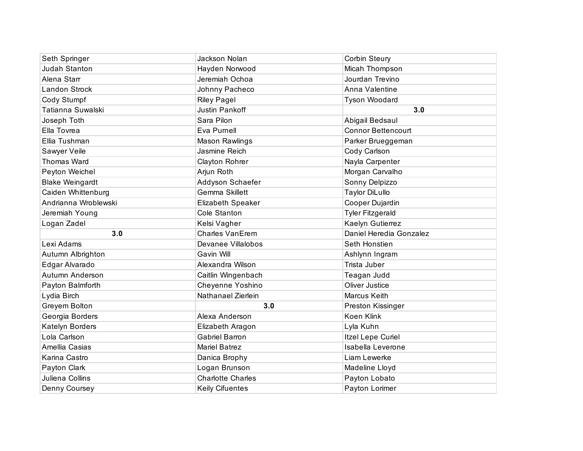| Seth Springer          | Jackson Nolan            | Corbin Steury             |
|------------------------|--------------------------|---------------------------|
| Judah Stanton          | Hayden Norwood           | Micah Thompson            |
| Alena Starr            | Jeremiah Ochoa           | Jourdan Trevino           |
| Landon Strock          | Johnny Pacheco           | Anna Valentine            |
| Cody Stumpf            | <b>Riley Pagel</b>       | Tyson Woodard             |
| Tatianna Suwalski      | <b>Justin Pankoff</b>    | 3.0                       |
| Joseph Toth            | Sara Pilon               | Abigail Bedsaul           |
| Ella Tovrea            | Eva Purnell              | <b>Connor Bettencourt</b> |
| Ellia Tushman          | <b>Mason Rawlings</b>    | Parker Brueggeman         |
| Sawyer Veile           | Jasmine Reich            | Cody Carlson              |
| <b>Thomas Ward</b>     | Clayton Rohrer           | Nayla Carpenter           |
| Peyton Weichel         | Arjun Roth               | Morgan Carvalho           |
| <b>Blake Weingardt</b> | Addyson Schaefer         | Sonny Delpizzo            |
| Caiden Whittenburg     | Gemma Skillett           | <b>Taylor DiLullo</b>     |
| Andrianna Wroblewski   | <b>Elizabeth Speaker</b> | Cooper Dujardin           |
| Jeremiah Young         | Cole Stanton             | <b>Tyler Fitzgerald</b>   |
| Logan Zadel            | Kelsi Vagher             | Kaelyn Gutierrez          |
| 3.0                    | <b>Charles VanErem</b>   | Daniel Heredia Gonzalez   |
| Lexi Adams             | Devanee Villalobos       | Seth Honstien             |
| Autumn Albrighton      | Gavin Will               | Ashlynn Ingram            |
| Edgar Alvarado         | Alexandra Wilson         | Trista Juber              |
| Autumn Anderson        | Caitlin Wingenbach       | Teagan Judd               |
| Payton Balmforth       | Cheyenne Yoshino         | Oliver Justice            |
| Lydia Birch            | Nathanael Zierlein       | Marcus Keith              |
| Greyem Bolton          | 3.0                      | Preston Kissinger         |
| Georgia Borders        | Alexa Anderson           | Koen Klink                |
| Katelyn Borders        | Elizabeth Aragon         | Lyla Kuhn                 |
| Lola Carlson           | <b>Gabriel Barron</b>    | Itzel Lepe Curiel         |
| Amellia Casias         | <b>Mariel Batrez</b>     | Isabella Leverone         |
| Karina Castro          | Danica Brophy            | Liam Lewerke              |
| Payton Clark           | Logan Brunson            | Madeline Lloyd            |
| Juliena Collins        | <b>Charlotte Charles</b> | Payton Lobato             |
| Denny Coursey          | <b>Keily Cifuentes</b>   | Payton Lorimer            |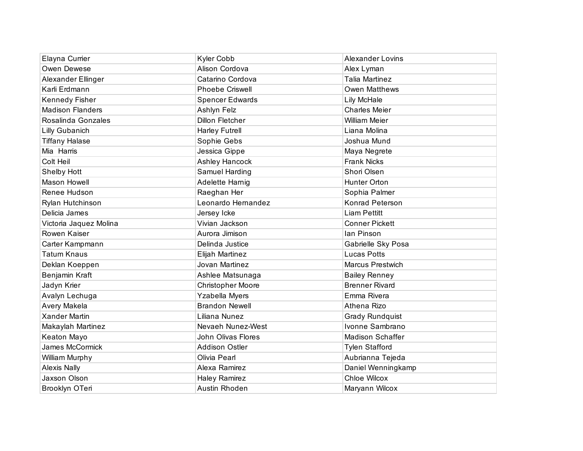| Elayna Currier          | Kyler Cobb             | <b>Alexander Lovins</b> |
|-------------------------|------------------------|-------------------------|
| Owen Dewese             | Alison Cordova         | Alex Lyman              |
| Alexander Ellinger      | Catarino Cordova       | <b>Talia Martinez</b>   |
| Karli Erdmann           | <b>Phoebe Criswell</b> | Owen Matthews           |
| Kennedy Fisher          | <b>Spencer Edwards</b> | Lily McHale             |
| <b>Madison Flanders</b> | Ashlyn Felz            | <b>Charles Meier</b>    |
| Rosalinda Gonzales      | Dillon Fletcher        | William Meier           |
| <b>Lilly Gubanich</b>   | <b>Harley Futrell</b>  | Liana Molina            |
| <b>Tiffany Halase</b>   | Sophie Gebs            | Joshua Mund             |
| Mia Harris              | Jessica Gippe          | Maya Negrete            |
| Colt Heil               | Ashley Hancock         | <b>Frank Nicks</b>      |
| Shelby Hott             | Samuel Harding         | Shori Olsen             |
| Mason Howell            | Adelette Harnig        | Hunter Orton            |
| Renee Hudson            | Raeghan Her            | Sophia Palmer           |
| Rylan Hutchinson        | Leonardo Hernandez     | Konrad Peterson         |
| Delicia James           | Jersey Icke            | <b>Liam Pettitt</b>     |
| Victoria Jaquez Molina  | Vivian Jackson         | <b>Conner Pickett</b>   |
| Rowen Kaiser            | Aurora Jimison         | lan Pinson              |
| Carter Kampmann         | Delinda Justice        | Gabrielle Sky Posa      |
| <b>Tatum Knaus</b>      | Elijah Martinez        | <b>Lucas Potts</b>      |
| Deklan Koeppen          | Jovan Martinez         | <b>Marcus Prestwich</b> |
| Benjamin Kraft          | Ashlee Matsunaga       | <b>Bailey Renney</b>    |
| Jadyn Krier             | Christopher Moore      | <b>Brenner Rivard</b>   |
| Avalyn Lechuga          | Yzabella Myers         | Emma Rivera             |
| Avery Makela            | <b>Brandon Newell</b>  | Athena Rizo             |
| <b>Xander Martin</b>    | Liliana Nunez          | <b>Grady Rundquist</b>  |
| Makaylah Martinez       | Nevaeh Nunez-West      | Ivonne Sambrano         |
| Keaton Mayo             | John Olivas Flores     | <b>Madison Schaffer</b> |
| James McCormick         | <b>Addison Ostler</b>  | <b>Tylen Stafford</b>   |
| William Murphy          | Olivia Pearl           | Aubrianna Tejeda        |
| <b>Alexis Nally</b>     | Alexa Ramirez          | Daniel Wenningkamp      |
| Jaxson Olson            | <b>Haley Ramirez</b>   | Chloe Wilcox            |
| Brooklyn OTeri          | Austin Rhoden          | Maryann Wilcox          |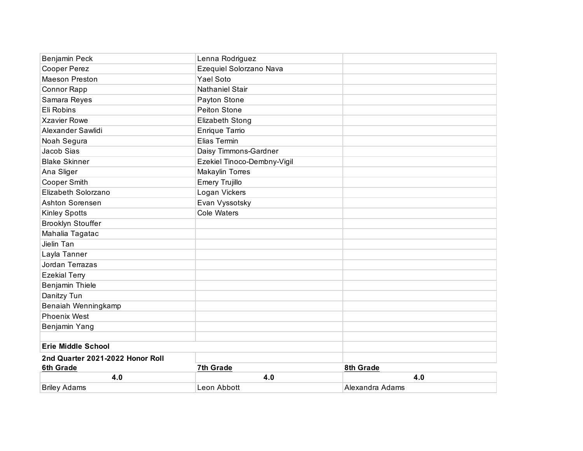| Benjamin Peck                    | Lenna Rodriguez             |                 |
|----------------------------------|-----------------------------|-----------------|
| Cooper Perez                     | Ezequiel Solorzano Nava     |                 |
| <b>Maeson Preston</b>            | Yael Soto                   |                 |
| Connor Rapp                      | <b>Nathaniel Stair</b>      |                 |
| Samara Reyes                     | Payton Stone                |                 |
| Eli Robins                       | Peiton Stone                |                 |
| <b>Xzavier Rowe</b>              | <b>Elizabeth Stong</b>      |                 |
| Alexander Sawlidi                | Enrique Tarrio              |                 |
| Noah Segura                      | Elias Termin                |                 |
| Jacob Sias                       | Daisy Timmons-Gardner       |                 |
| <b>Blake Skinner</b>             | Ezekiel Tinoco-Dembny-Vigil |                 |
| Ana Sliger                       | Makaylin Torres             |                 |
| Cooper Smith                     | <b>Emery Trujillo</b>       |                 |
| Elizabeth Solorzano              | Logan Vickers               |                 |
| Ashton Sorensen                  | Evan Vyssotsky              |                 |
| <b>Kinley Spotts</b>             | <b>Cole Waters</b>          |                 |
| <b>Brooklyn Stouffer</b>         |                             |                 |
| Mahalia Tagatac                  |                             |                 |
| Jielin Tan                       |                             |                 |
| Layla Tanner                     |                             |                 |
| Jordan Terrazas                  |                             |                 |
| <b>Ezekial Terry</b>             |                             |                 |
| Benjamin Thiele                  |                             |                 |
| Danitzy Tun                      |                             |                 |
| Benaiah Wenningkamp              |                             |                 |
| <b>Phoenix West</b>              |                             |                 |
| Benjamin Yang                    |                             |                 |
| <b>Erie Middle School</b>        |                             |                 |
| 2nd Quarter 2021-2022 Honor Roll |                             |                 |
| 6th Grade                        | 7th Grade                   | 8th Grade       |
| 4.0                              | 4.0                         | 4.0             |
| <b>Briley Adams</b>              | Leon Abbott                 | Alexandra Adams |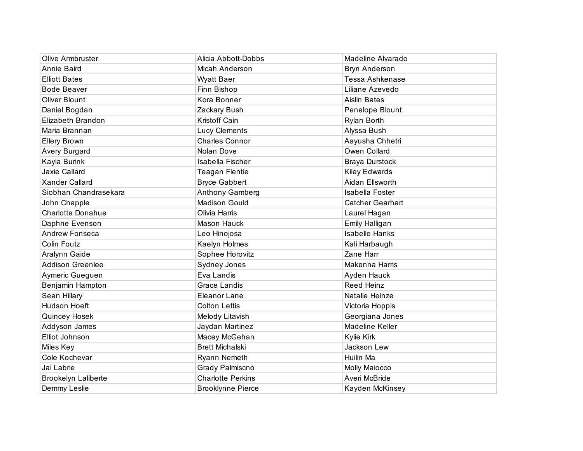| Olive Armbruster         | Alicia Abbott-Dobbs      | Madeline Alvarado       |
|--------------------------|--------------------------|-------------------------|
| Annie Baird              | Micah Anderson           | <b>Bryn Anderson</b>    |
| <b>Elliott Bates</b>     | <b>Wyatt Baer</b>        | <b>Tessa Ashkenase</b>  |
| <b>Bode Beaver</b>       | Finn Bishop              | Liliane Azevedo         |
| <b>Oliver Blount</b>     | Kora Bonner              | <b>Aislin Bates</b>     |
| Daniel Bogdan            | Zackary Bush             | Penelope Blount         |
| Elizabeth Brandon        | Kristoff Cain            | Rylan Borth             |
| Maria Brannan            | <b>Lucy Clements</b>     | Alyssa Bush             |
| <b>Ellery Brown</b>      | <b>Charles Connor</b>    | Aayusha Chhetri         |
| Avery Burgard            | Nolan Dove               | Owen Collard            |
| Kayla Burink             | Isabella Fischer         | <b>Braya Durstock</b>   |
| Jaxie Callard            | <b>Teagan Flentie</b>    | Kiley Edwards           |
| <b>Xander Callard</b>    | <b>Bryce Gabbert</b>     | Aidan Ellsworth         |
| Siobhan Chandrasekara    | Anthony Gamberg          | Isabella Foster         |
| John Chapple             | <b>Madison Gould</b>     | <b>Catcher Gearhart</b> |
| <b>Charlotte Donahue</b> | Olivia Harris            | Laurel Hagan            |
| Daphne Evenson           | Mason Hauck              | Emily Halligan          |
| Andrew Fonseca           | Leo Hinojosa             | <b>Isabelle Hanks</b>   |
| Colin Foutz              | Kaelyn Holmes            | Kali Harbaugh           |
| Aralynn Gaide            | Sophee Horovitz          | Zane Harr               |
| <b>Addison Greenlee</b>  | Sydney Jones             | Makenna Harris          |
| Aymeric Gueguen          | Eva Landis               | Ayden Hauck             |
| Benjamin Hampton         | <b>Grace Landis</b>      | <b>Reed Heinz</b>       |
| Sean Hillary             | Eleanor Lane             | Natalie Heinze          |
| Hudson Hoeft             | <b>Colton Lettis</b>     | Victoria Hoppis         |
| Quincey Hosek            | Melody Litavish          | Georgiana Jones         |
| Addyson James            | Jaydan Martinez          | Madeline Keller         |
| Elliot Johnson           | Macey McGehan            | Kylie Kirk              |
| Miles Key                | <b>Brett Michalski</b>   | Jackson Lew             |
| Cole Kochevar            | Ryann Nemeth             | Huilin Ma               |
| Jai Labrie               | Grady Palmiscno          | Molly Maiocco           |
| Brookelyn Laliberte      | <b>Charlotte Perkins</b> | Averi McBride           |
| Demmy Leslie             | <b>Brooklynne Pierce</b> | Kayden McKinsey         |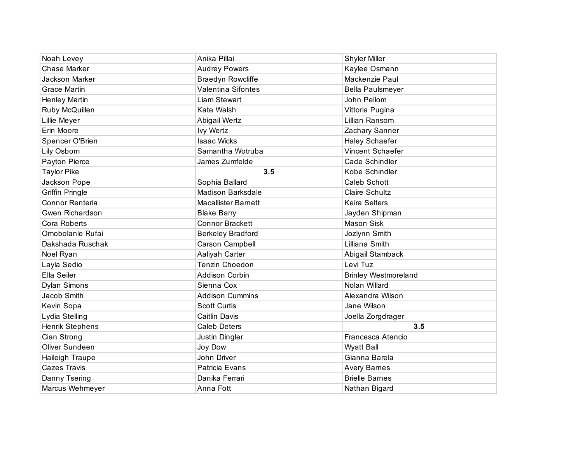| Noah Levey             | Anika Pillai               | <b>Shyler Miller</b>        |
|------------------------|----------------------------|-----------------------------|
| <b>Chase Marker</b>    | <b>Audrey Powers</b>       | Kaylee Osmann               |
| Jackson Marker         | <b>Braedyn Rowcliffe</b>   | Mackenzie Paul              |
| <b>Grace Martin</b>    | <b>Valentina Sifontes</b>  | Bella Paulsmeyer            |
| Henley Martin          | Liam Stewart               | John Pellom                 |
| Ruby McQuillen         | Kate Walsh                 | Vittoria Pugina             |
| Lillie Meyer           | Abigail Wertz              | Lillian Ransom              |
| Erin Moore             | <b>Ivy Wertz</b>           | Zachary Sanner              |
| Spencer O'Brien        | <b>Isaac Wicks</b>         | Haley Schaefer              |
| Lily Osborn            | Samantha Wotruba           | Vincent Schaefer            |
| Payton Pierce          | James Zumfelde             | Cade Schindler              |
| <b>Taylor Pike</b>     | 3.5                        | Kobe Schindler              |
| Jackson Pope           | Sophia Ballard             | <b>Caleb Schott</b>         |
| <b>Griffin Pringle</b> | <b>Madison Barksdale</b>   | <b>Claire Schultz</b>       |
| Connor Renteria        | <b>Macallister Barnett</b> | <b>Keira Selters</b>        |
| Gwen Richardson        | <b>Blake Barry</b>         | Jayden Shipman              |
| Cora Roberts           | <b>Connor Brackett</b>     | <b>Mason Sisk</b>           |
| Omobolanle Rufai       | <b>Berkeley Bradford</b>   | Jozlynn Smith               |
| Dakshada Ruschak       | Carson Campbell            | Lilliana Smith              |
| Noel Ryan              | Aaliyah Carter             | Abigail Stamback            |
| Layla Sedio            | Tenzin Choedon             | Levi Tuz                    |
| Ella Seiler            | <b>Addison Corbin</b>      | <b>Brinley Westmoreland</b> |
| <b>Dylan Simons</b>    | Sienna Cox                 | Nolan Willard               |
| Jacob Smith            | <b>Addison Cummins</b>     | Alexandra Wilson            |
| Kevin Sopa             | <b>Scott Curtis</b>        | Jane Wilson                 |
| Lydia Stelling         | Caitlin Davis              | Joella Zorgdrager           |
| Henrik Stephens        | <b>Caleb Deters</b>        | 3.5                         |
| Cian Strong            | Justin Dingler             | Francesca Atencio           |
| Oliver Sundeen         | Joy Dow                    | <b>Wyatt Ball</b>           |
| Haileigh Traupe        | John Driver                | Gianna Barela               |
| Cazes Travis           | Patricia Evans             | <b>Avery Barnes</b>         |
| Danny Tsering          | Danika Ferrari             | <b>Brielle Barnes</b>       |
| Marcus Wehmeyer        | Anna Fott                  | Nathan Bigard               |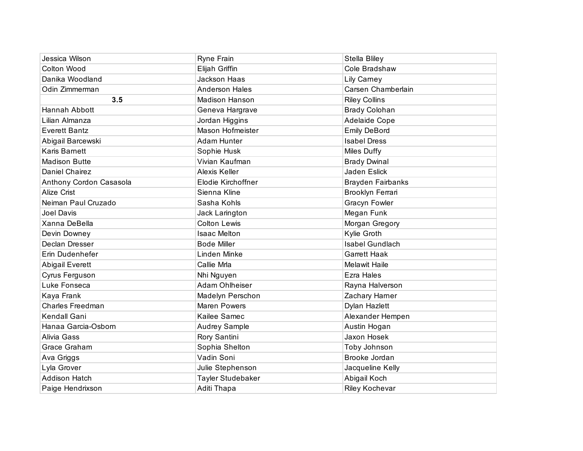| Jessica Wilson          | Ryne Frain            | Stella Bliley            |
|-------------------------|-----------------------|--------------------------|
| Colton Wood             | Elijah Griffin        | Cole Bradshaw            |
| Danika Woodland         | Jackson Haas          | <b>Lily Carney</b>       |
| Odin Zimmerman          | <b>Anderson Hales</b> | Carsen Chamberlain       |
| 3.5                     | <b>Madison Hanson</b> | <b>Riley Collins</b>     |
| Hannah Abbott           | Geneva Hargrave       | <b>Brady Colohan</b>     |
| Lilian Almanza          | Jordan Higgins        | <b>Adelaide Cope</b>     |
| <b>Everett Bantz</b>    | Mason Hofmeister      | <b>Emily DeBord</b>      |
| Abigail Barcewski       | <b>Adam Hunter</b>    | <b>Isabel Dress</b>      |
| <b>Karis Barnett</b>    | Sophie Husk           | <b>Miles Duffy</b>       |
| <b>Madison Butte</b>    | Vivian Kaufman        | <b>Brady Dwinal</b>      |
| Daniel Chairez          | Alexis Keller         | Jaden Eslick             |
| Anthony Cordon Casasola | Elodie Kirchoffner    | <b>Brayden Fairbanks</b> |
| Alize Crist             | Sienna Kline          | Brooklyn Ferrari         |
| Neiman Paul Cruzado     | Sasha Kohls           | <b>Gracyn Fowler</b>     |
| Joel Davis              | Jack Larington        | Megan Funk               |
| Xanna DeBella           | <b>Colton Lewis</b>   | Morgan Gregory           |
| Devin Downey            | <b>Isaac Melton</b>   | Kylie Groth              |
| Declan Dresser          | <b>Bode Miller</b>    | <b>Isabel Gundlach</b>   |
| Erin Dudenhefer         | Linden Minke          | <b>Garrett Haak</b>      |
| <b>Abigail Everett</b>  | Callie Mrla           | <b>Melawit Haile</b>     |
| Cyrus Ferguson          | Nhi Nguyen            | <b>Ezra Hales</b>        |
| Luke Fonseca            | <b>Adam Ohlheiser</b> | Rayna Halverson          |
| Kaya Frank              | Madelyn Perschon      | Zachary Harner           |
| <b>Charles Freedman</b> | <b>Maren Powers</b>   | Dylan Hazlett            |
| Kendall Gani            | Kailee Samec          | Alexander Hempen         |
| Hanaa Garcia-Osborn     | <b>Audrey Sample</b>  | Austin Hogan             |
| Alivia Gass             | Rory Santini          | Jaxon Hosek              |
| Grace Graham            | Sophia Shelton        | Toby Johnson             |
| Ava Griggs              | Vadin Soni            | Brooke Jordan            |
| Lyla Grover             | Julie Stephenson      | Jacqueline Kelly         |
| <b>Addison Hatch</b>    | Tayler Studebaker     | Abigail Koch             |
| Paige Hendrixson        | Aditi Thapa           | <b>Riley Kochevar</b>    |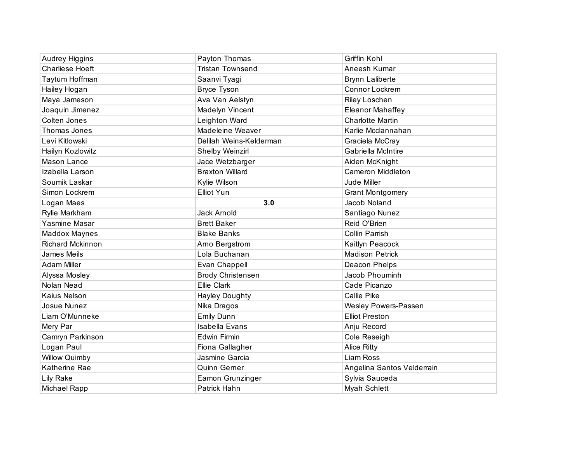| <b>Audrey Higgins</b>  | Payton Thomas           | <b>Griffin Kohl</b>        |
|------------------------|-------------------------|----------------------------|
| <b>Charliese Hoeft</b> | <b>Tristan Townsend</b> | Aneesh Kumar               |
| Taytum Hoffman         | Saanvi Tyagi            | <b>Brynn Laliberte</b>     |
| Hailey Hogan           | <b>Bryce Tyson</b>      | Connor Lockrem             |
| Maya Jameson           | Ava Van Aelstyn         | <b>Riley Loschen</b>       |
| Joaquin Jimenez        | Madelyn Vincent         | <b>Eleanor Mahaffey</b>    |
| Colten Jones           | Leighton Ward           | <b>Charlotte Martin</b>    |
| Thomas Jones           | Madeleine Weaver        | Karlie Mcclannahan         |
| Levi Kitlowski         | Delilah Weins-Kelderman | Graciela McCray            |
| Hailyn Kozlowitz       | Shelby Weinzirl         | Gabriella McIntire         |
| Mason Lance            | Jace Wetzbarger         | Aiden McKnight             |
| Izabella Larson        | <b>Braxton Willard</b>  | <b>Cameron Middleton</b>   |
| Soumik Laskar          | Kylie Wilson            | Jude Miller                |
| Simon Lockrem          | Elliot Yun              | <b>Grant Montgomery</b>    |
| Logan Maes             | 3.0                     | Jacob Noland               |
| Rylie Markham          | <b>Jack Arnold</b>      | Santiago Nunez             |
| Yasmine Masar          | <b>Brett Baker</b>      | Reid O'Brien               |
| <b>Maddox Maynes</b>   | <b>Blake Banks</b>      | Collin Parrish             |
| Richard Mckinnon       | Arno Bergstrom          | Kaitlyn Peacock            |
| <b>James Meils</b>     | Lola Buchanan           | <b>Madison Petrick</b>     |
| <b>Adam Miller</b>     | Evan Chappell           | Deacon Phelps              |
| Alyssa Mosley          | Brody Christensen       | Jacob Phouminh             |
| Nolan Nead             | <b>Ellie Clark</b>      | Cade Picanzo               |
| Kaius Nelson           | <b>Hayley Doughty</b>   | Callie Pike                |
| Josue Nunez            | Nika Dragos             | Wesley Powers-Passen       |
| Liam O'Munneke         | <b>Emily Dunn</b>       | <b>Elliot Preston</b>      |
| Mery Par               | <b>Isabella Evans</b>   | Anju Record                |
| Camryn Parkinson       | <b>Edwin Firmin</b>     | Cole Reseigh               |
| Logan Paul             | Fiona Gallagher         | <b>Alice Ritty</b>         |
| <b>Willow Quimby</b>   | Jasmine Garcia          | Liam Ross                  |
| Katherine Rae          | Quinn Gerner            | Angelina Santos Velderrain |
| <b>Lily Rake</b>       | Eamon Grunzinger        | Sylvia Sauceda             |
| Michael Rapp           | Patrick Hahn            | <b>Myah Schlett</b>        |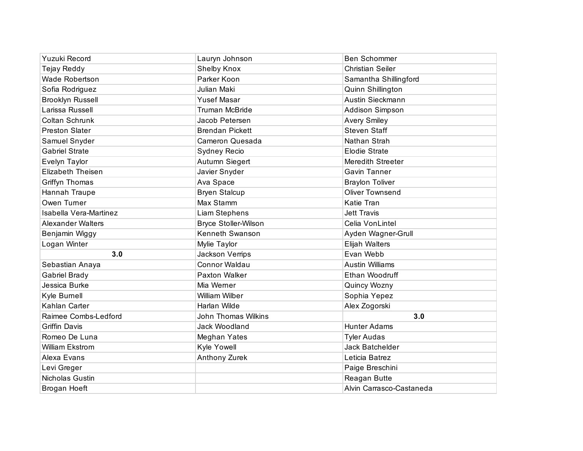| <b>Yuzuki Record</b>     | Lauryn Johnson              | <b>Ben Schommer</b>      |
|--------------------------|-----------------------------|--------------------------|
| <b>Tejay Reddy</b>       | <b>Shelby Knox</b>          | <b>Christian Seiler</b>  |
| Wade Robertson           | Parker Koon                 | Samantha Shillingford    |
| Sofia Rodriguez          | Julian Maki                 | Quinn Shillington        |
| <b>Brooklyn Russell</b>  | <b>Yusef Masar</b>          | Austin Sieckmann         |
| Larissa Russell          | <b>Truman McBride</b>       | <b>Addison Simpson</b>   |
| Coltan Schrunk           | Jacob Petersen              | <b>Avery Smiley</b>      |
| <b>Preston Slater</b>    | <b>Brendan Pickett</b>      | <b>Steven Staff</b>      |
| Samuel Snyder            | Cameron Quesada             | Nathan Strah             |
| <b>Gabriel Strate</b>    | Sydney Recio                | <b>Elodie Strate</b>     |
| Evelyn Taylor            | Autumn Siegert              | Meredith Streeter        |
| <b>Elizabeth Theisen</b> | Javier Snyder               | Gavin Tanner             |
| Griffyn Thomas           | Ava Space                   | <b>Braylon Toliver</b>   |
| Hannah Traupe            | <b>Bryen Stalcup</b>        | <b>Oliver Townsend</b>   |
| Owen Turner              | Max Stamm                   | Katie Tran               |
| Isabella Vera-Martinez   | Liam Stephens               | <b>Jett Travis</b>       |
| <b>Alexander Walters</b> | <b>Bryce Stoller-Wilson</b> | Celia VonLintel          |
| Benjamin Wiggy           | Kenneth Swanson             | Ayden Wagner-Grull       |
| Logan Winter             | Mylie Taylor                | <b>Elijah Walters</b>    |
| 3.0                      | Jackson Verrips             | Evan Webb                |
| Sebastian Anaya          | Connor Waldau               | <b>Austin Williams</b>   |
| Gabriel Brady            | Paxton Walker               | Ethan Woodruff           |
| Jessica Burke            | Mia Werner                  | Quincy Wozny             |
| Kyle Burnell             | William Wilber              | Sophia Yepez             |
| Kahlan Carter            | Harlan Wilde                | Alex Zogorski            |
| Raimee Combs-Ledford     | <b>John Thomas Wilkins</b>  | 3.0                      |
| <b>Griffin Davis</b>     | Jack Woodland               | <b>Hunter Adams</b>      |
| Romeo De Luna            | Meghan Yates                | <b>Tyler Audas</b>       |
| William Ekstrom          | Kyle Yowell                 | Jack Batchelder          |
| Alexa Evans              | Anthony Zurek               | Leticia Batrez           |
| Levi Greger              |                             | Paige Breschini          |
| <b>Nicholas Gustin</b>   |                             | Reagan Butte             |
| Brogan Hoeft             |                             | Alvin Carrasco-Castaneda |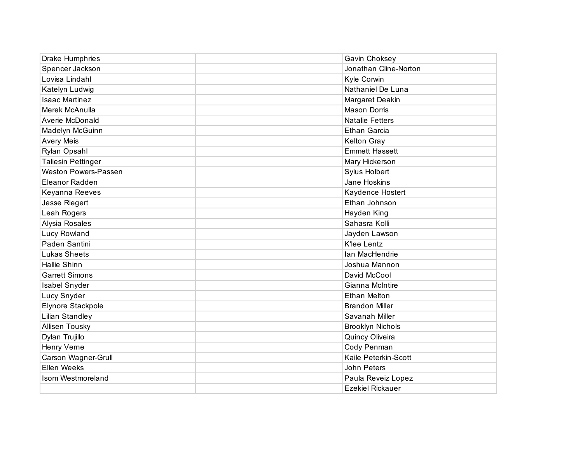| Drake Humphries             | Gavin Choksey           |
|-----------------------------|-------------------------|
| Spencer Jackson             | Jonathan Cline-Norton   |
| Lovisa Lindahl              | Kyle Corwin             |
| Katelyn Ludwig              | Nathaniel De Luna       |
| <b>Isaac Martinez</b>       | Margaret Deakin         |
| Merek McAnulla              | <b>Mason Dorris</b>     |
| Averie McDonald             | <b>Natalie Fetters</b>  |
| Madelyn McGuinn             | <b>Ethan Garcia</b>     |
| <b>Avery Meis</b>           | <b>Kelton Gray</b>      |
| Rylan Opsahl                | <b>Emmett Hassett</b>   |
| <b>Taliesin Pettinger</b>   | Mary Hickerson          |
| <b>Weston Powers-Passen</b> | Sylus Holbert           |
| Eleanor Radden              | Jane Hoskins            |
| Keyanna Reeves              | Kaydence Hostert        |
| Jesse Riegert               | Ethan Johnson           |
| Leah Rogers                 | Hayden King             |
| Alysia Rosales              | Sahasra Kolli           |
| <b>Lucy Rowland</b>         | Jayden Lawson           |
| Paden Santini               | K'lee Lentz             |
| <b>Lukas Sheets</b>         | Ian MacHendrie          |
| <b>Hallie Shinn</b>         | Joshua Mannon           |
| <b>Garrett Simons</b>       | David McCool            |
| Isabel Snyder               | Gianna McIntire         |
| Lucy Snyder                 | <b>Ethan Melton</b>     |
| Elynore Stackpole           | <b>Brandon Miller</b>   |
| <b>Lilian Standley</b>      | Savanah Miller          |
| Allisen Tousky              | <b>Brooklyn Nichols</b> |
| Dylan Trujillo              | Quincy Oliveira         |
| Henry Verne                 | Cody Penman             |
| Carson Wagner-Grull         | Kaile Peterkin-Scott    |
| Ellen Weeks                 | John Peters             |
| Isom Westmoreland           | Paula Reveiz Lopez      |
|                             | <b>Ezekiel Rickauer</b> |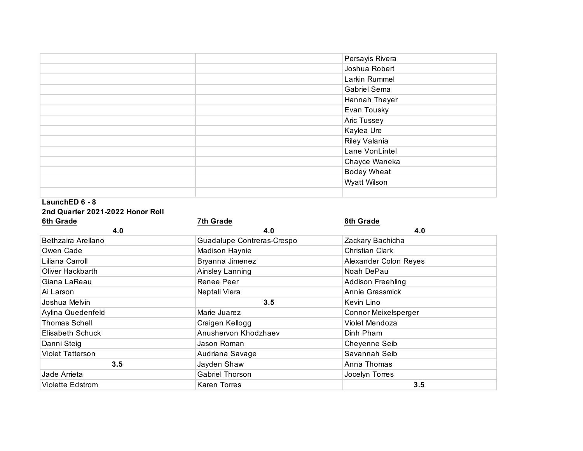|  | Persayis Rivera    |
|--|--------------------|
|  | Joshua Robert      |
|  | Larkin Rummel      |
|  | Gabriel Sema       |
|  | Hannah Thayer      |
|  | Evan Tousky        |
|  | Aric Tussey        |
|  | Kaylea Ure         |
|  | Riley Valania      |
|  | Lane VonLintel     |
|  | Chayce Waneka      |
|  | <b>Bodey Wheat</b> |
|  | Wyatt Wilson       |
|  |                    |

## **LaunchED 6 - 8 2nd Quarter 2021-2022 Honor Roll**

| <b>6th Grade</b>        | <b>7th Grade</b>           | 8th Grade                |
|-------------------------|----------------------------|--------------------------|
| 4.0                     | 4.0                        | 4.0                      |
| Bethzaira Arellano      | Guadalupe Contreras-Crespo | Zackary Bachicha         |
| Owen Cade               | Madison Haynie             | Christian Clark          |
| Liliana Carroll         | Bryanna Jimenez            | Alexander Colon Reyes    |
| Oliver Hackbarth        | Ainsley Lanning            | Noah DePau               |
| Giana LaReau            | Renee Peer                 | <b>Addison Freehling</b> |
| Ai Larson               | Neptali Viera              | Annie Grassmick          |
| Joshua Melvin           | 3.5                        | Kevin Lino               |
| Aylina Quedenfeld       | Marie Juarez               | Connor Meixelsperger     |
| <b>Thomas Schell</b>    | Craigen Kellogg            | Violet Mendoza           |
| Elisabeth Schuck        | Anushervon Khodzhaev       | Dinh Pham                |
| Danni Steig             | Jason Roman                | Cheyenne Seib            |
| Violet Tatterson        | Audriana Savage            | Savannah Seib            |
| 3.5                     | Jayden Shaw                | Anna Thomas              |
| Jade Arrieta            | <b>Gabriel Thorson</b>     | Jocelyn Torres           |
| <b>Violette Edstrom</b> | Karen Torres               | 3.5                      |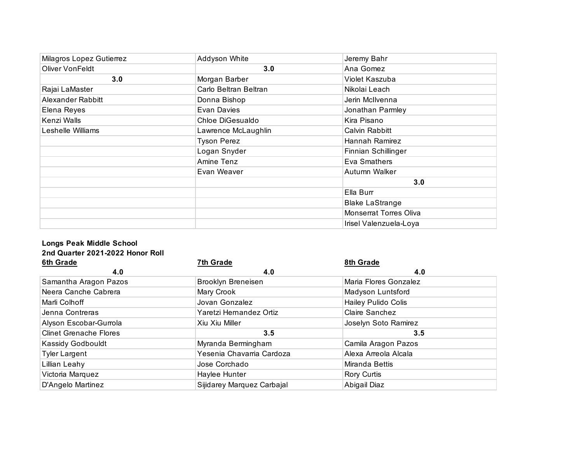| Milagros Lopez Gutierrez | Addyson White         | Jeremy Bahr            |
|--------------------------|-----------------------|------------------------|
| Oliver VonFeldt          | 3.0                   | Ana Gomez              |
| 3.0                      | Morgan Barber         | Violet Kaszuba         |
| Rajai LaMaster           | Carlo Beltran Beltran | Nikolai Leach          |
| Alexander Rabbitt        | Donna Bishop          | Jerin McIlvenna        |
| Elena Reyes              | Evan Davies           | Jonathan Parmley       |
| Kenzi Walls              | Chloe DiGesualdo      | Kira Pisano            |
| Leshelle Williams        | Lawrence McLaughlin   | Calvin Rabbitt         |
|                          | <b>Tyson Perez</b>    | Hannah Ramirez         |
|                          | Logan Snyder          | Finnian Schillinger    |
|                          | Amine Tenz            | Eva Smathers           |
|                          | Evan Weaver           | Autumn Walker          |
|                          |                       | 3.0                    |
|                          |                       | Ella Burr              |
|                          |                       | <b>Blake LaStrange</b> |
|                          |                       | Monserrat Torres Oliva |
|                          |                       | Irisel Valenzuela-Loya |

## **Longs Peak Middle School 2nd Quarter 2021-2022 Honor Roll**

| <b>6th Grade</b>              | 7th Grade                  | 8th Grade                  |
|-------------------------------|----------------------------|----------------------------|
| 4.0                           | 4.0                        | 4.0                        |
| Samantha Aragon Pazos         | <b>Brooklyn Breneisen</b>  | Maria Flores Gonzalez      |
| Neera Canche Cabrera          | Mary Crook                 | Madyson Luntsford          |
| Marli Colhoff                 | Jovan Gonzalez             | <b>Hailey Pulido Colis</b> |
| Jenna Contreras               | Yaretzi Hernandez Ortiz    | Claire Sanchez             |
| Alyson Escobar-Gurrola        | Xiu Xiu Miller             | Joselyn Soto Ramirez       |
| <b>Clinet Grenache Flores</b> | 3.5                        | 3.5                        |
| Kassidy Godbouldt             | Myranda Bermingham         | Camila Aragon Pazos        |
| <b>Tyler Largent</b>          | Yesenia Chavarria Cardoza  | Alexa Arreola Alcala       |
| Lillian Leahy                 | Jose Corchado              | Miranda Bettis             |
| Victoria Marquez              | Haylee Hunter              | Rory Curtis                |
| D'Angelo Martinez             | Sijidarey Marquez Carbajal | Abigail Diaz               |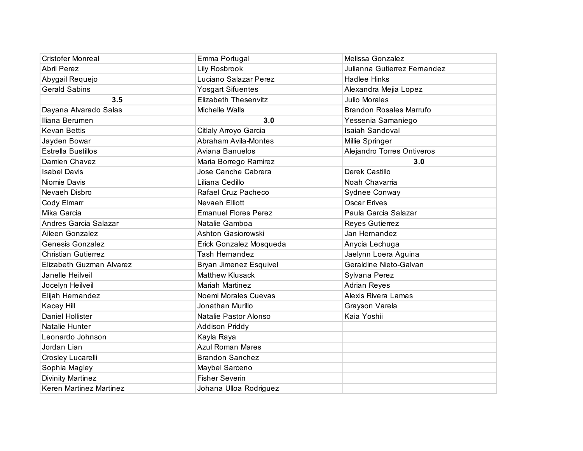| <b>Cristofer Monreal</b>   | Emma Portugal               | Melissa Gonzalez               |
|----------------------------|-----------------------------|--------------------------------|
| <b>Abril Perez</b>         | Lily Rosbrook               | Julianna Gutierrez Fernandez   |
| Abygail Requejo            | Luciano Salazar Perez       | <b>Hadlee Hinks</b>            |
| <b>Gerald Sabins</b>       | <b>Yosgart Sifuentes</b>    | Alexandra Mejia Lopez          |
| 3.5                        | <b>Elizabeth Thesenvitz</b> | <b>Julio Morales</b>           |
| Dayana Alvarado Salas      | Michelle Walls              | <b>Brandon Rosales Marrufo</b> |
| Iliana Berumen             | 3.0                         | Yessenia Samaniego             |
| <b>Kevan Bettis</b>        | Citlaly Arroyo Garcia       | <b>Isaiah Sandoval</b>         |
| Jayden Bowar               | Abraham Avila-Montes        | Millie Springer                |
| <b>Estrella Bustillos</b>  | Aviana Banuelos             | Alejandro Torres Ontiveros     |
| Damien Chavez              | Maria Borrego Ramirez       | 3.0                            |
| <b>Isabel Davis</b>        | Jose Canche Cabrera         | Derek Castillo                 |
| Niomie Davis               | Liliana Cedillo             | Noah Chavarria                 |
| Nevaeh Disbro              | Rafael Cruz Pacheco         | Sydnee Conway                  |
| Cody Elmarr                | Nevaeh Elliott              | <b>Oscar Erives</b>            |
| Mika Garcia                | <b>Emanuel Flores Perez</b> | Paula Garcia Salazar           |
| Andres Garcia Salazar      | Natalie Gamboa              | Reyes Gutierrez                |
| Aileen Gonzalez            | Ashton Gasiorowski          | Jan Hernandez                  |
| <b>Genesis Gonzalez</b>    | Erick Gonzalez Mosqueda     | Anycia Lechuga                 |
| <b>Christian Gutierrez</b> | <b>Tash Hernandez</b>       | Jaelynn Loera Aguina           |
| Elizabeth Guzman Alvarez   | Bryan Jimenez Esquivel      | Geraldine Nieto-Galvan         |
| Janelle Heilveil           | <b>Matthew Klusack</b>      | Sylvana Perez                  |
| Jocelyn Heilveil           | <b>Mariah Martinez</b>      | <b>Adrian Reyes</b>            |
| Elijah Hernandez           | Noemi Morales Cuevas        | Alexis Rivera Lamas            |
| Kacey Hill                 | Jonathan Murillo            | Grayson Varela                 |
| Daniel Hollister           | Natalie Pastor Alonso       | Kaia Yoshii                    |
| Natalie Hunter             | Addison Priddy              |                                |
| Leonardo Johnson           | Kayla Raya                  |                                |
| Jordan Lian                | <b>Azul Roman Mares</b>     |                                |
| Crosley Lucarelli          | <b>Brandon Sanchez</b>      |                                |
| Sophia Magley              | Maybel Sarceno              |                                |
| <b>Divinity Martinez</b>   | <b>Fisher Severin</b>       |                                |
| Keren Martinez Martinez    | Johana Ulloa Rodriguez      |                                |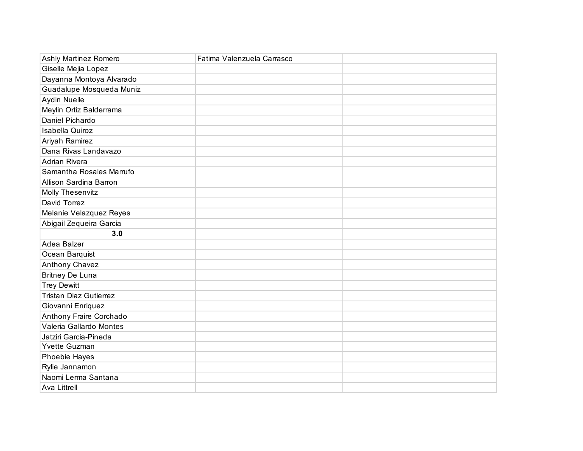| Ashly Martinez Romero         | Fatima Valenzuela Carrasco |  |
|-------------------------------|----------------------------|--|
| Giselle Mejia Lopez           |                            |  |
| Dayanna Montoya Alvarado      |                            |  |
| Guadalupe Mosqueda Muniz      |                            |  |
| Aydin Nuelle                  |                            |  |
| Meylin Ortiz Balderrama       |                            |  |
| Daniel Pichardo               |                            |  |
| Isabella Quiroz               |                            |  |
| Ariyah Ramirez                |                            |  |
| Dana Rivas Landavazo          |                            |  |
| <b>Adrian Rivera</b>          |                            |  |
| Samantha Rosales Marrufo      |                            |  |
| Allison Sardina Barron        |                            |  |
| Molly Thesenvitz              |                            |  |
| David Torrez                  |                            |  |
| Melanie Velazquez Reyes       |                            |  |
| Abigail Zequeira Garcia       |                            |  |
| 3.0                           |                            |  |
| Adea Balzer                   |                            |  |
| Ocean Barquist                |                            |  |
| Anthony Chavez                |                            |  |
| <b>Britney De Luna</b>        |                            |  |
| <b>Trey Dewitt</b>            |                            |  |
| <b>Tristan Diaz Gutierrez</b> |                            |  |
| Giovanni Enriquez             |                            |  |
| Anthony Fraire Corchado       |                            |  |
| Valeria Gallardo Montes       |                            |  |
| Jatziri Garcia-Pineda         |                            |  |
| Yvette Guzman                 |                            |  |
| Phoebie Hayes                 |                            |  |
| Rylie Jannamon                |                            |  |
| Naomi Lerma Santana           |                            |  |
| <b>Ava Littrell</b>           |                            |  |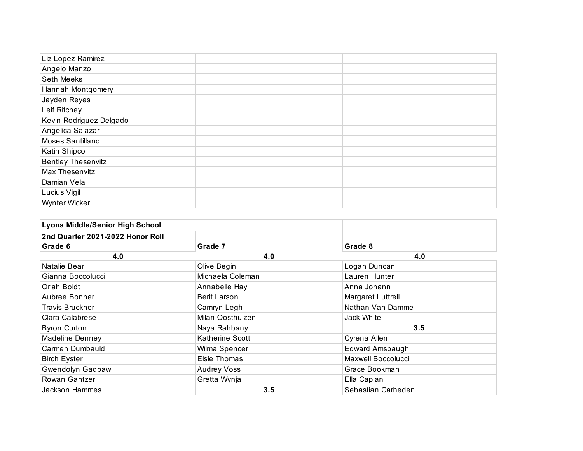| Liz Lopez Ramirez         |  |
|---------------------------|--|
| Angelo Manzo              |  |
| Seth Meeks                |  |
| Hannah Montgomery         |  |
| Jayden Reyes              |  |
| Leif Ritchey              |  |
| Kevin Rodriguez Delgado   |  |
| Angelica Salazar          |  |
| Moses Santillano          |  |
| Katin Shipco              |  |
| <b>Bentley Thesenvitz</b> |  |
| Max Thesenvitz            |  |
| Damian Vela               |  |
| Lucius Vigil              |  |
| Wynter Wicker             |  |

| <b>Lyons Middle/Senior High School</b> |                    |                    |
|----------------------------------------|--------------------|--------------------|
| 2nd Quarter 2021-2022 Honor Roll       |                    |                    |
| Grade 6                                | Grade 7            | Grade 8            |
| 4.0                                    | 4.0                | 4.0                |
| Natalie Bear                           | Olive Begin        | Logan Duncan       |
| Gianna Boccolucci                      | Michaela Coleman   | Lauren Hunter      |
| Oriah Boldt                            | Annabelle Hay      | Anna Johann        |
| Aubree Bonner                          | Berit Larson       | Margaret Luttrell  |
| <b>Travis Bruckner</b>                 | Camryn Legh        | Nathan Van Damme   |
| Clara Calabrese                        | Milan Oosthuizen   | <b>Jack White</b>  |
| <b>Byron Curton</b>                    | Naya Rahbany       | 3.5                |
| Madeline Denney                        | Katherine Scott    | Cyrena Allen       |
| Carmen Dumbauld                        | Wilma Spencer      | Edward Amsbaugh    |
| <b>Birch Eyster</b>                    | Elsie Thomas       | Maxwell Boccolucci |
| Gwendolyn Gadbaw                       | <b>Audrey Voss</b> | Grace Bookman      |
| Rowan Gantzer                          | Gretta Wynja       | Ella Caplan        |
| Jackson Hammes                         | 3.5                | Sebastian Carheden |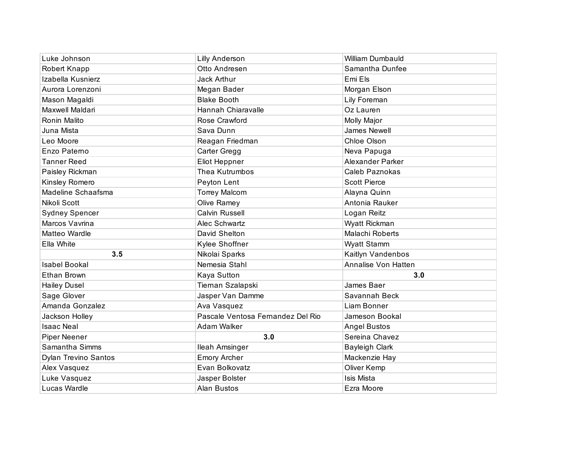| Luke Johnson                | <b>Lilly Anderson</b>             | <b>William Dumbauld</b> |
|-----------------------------|-----------------------------------|-------------------------|
| Robert Knapp                | Otto Andresen                     | Samantha Dunfee         |
| Izabella Kusnierz           | Jack Arthur                       | Emi Els                 |
| Aurora Lorenzoni            | Megan Bader                       | Morgan Elson            |
| Mason Magaldi               | <b>Blake Booth</b>                | Lily Foreman            |
| Maxwell Maldari             | Hannah Chiaravalle                | Oz Lauren               |
| Ronin Malito                | Rose Crawford                     | Molly Major             |
| Juna Mista                  | Sava Dunn                         | <b>James Newell</b>     |
| Leo Moore                   | Reagan Friedman                   | Chloe Olson             |
| Enzo Paterno                | Carter Gregg                      | Neva Papuga             |
| <b>Tanner Reed</b>          | Eliot Heppner                     | <b>Alexander Parker</b> |
| Paisley Rickman             | Thea Kutrumbos                    | Caleb Paznokas          |
| Kinsley Romero              | Peyton Lent                       | <b>Scott Pierce</b>     |
| Madeline Schaafsma          | <b>Torrey Malcom</b>              | Alayna Quinn            |
| Nikoli Scott                | Olive Ramey                       | Antonia Rauker          |
| <b>Sydney Spencer</b>       | Calvin Russell                    | Logan Reitz             |
| Marcos Vavrina              | Alec Schwartz                     | Wyatt Rickman           |
| Matteo Wardle               | David Shelton                     | Malachi Roberts         |
| Ella White                  | Kylee Shoffner                    | <b>Wyatt Stamm</b>      |
| 3.5                         | Nikolai Sparks                    | Kaitlyn Vandenbos       |
| <b>Isabel Bookal</b>        | Nemesia Stahl                     | Annalise Von Hatten     |
| Ethan Brown                 | Kaya Sutton                       | 3.0                     |
| <b>Hailey Dusel</b>         | Tiernan Szalapski                 | James Baer              |
| Sage Glover                 | Jasper Van Damme                  | Savannah Beck           |
| Amanda Gonzalez             | Ava Vasquez                       | Liam Bonner             |
| Jackson Holley              | Pascale Ventosa Fernandez Del Rio | Jameson Bookal          |
| <b>Isaac Neal</b>           | Adam Walker                       | <b>Angel Bustos</b>     |
| <b>Piper Neener</b>         | 3.0                               | Sereina Chavez          |
| Samantha Simms              | Ileah Amsinger                    | <b>Bayleigh Clark</b>   |
| <b>Dylan Trevino Santos</b> | <b>Emory Archer</b>               | Mackenzie Hay           |
| Alex Vasquez                | Evan Bolkovatz                    | Oliver Kemp             |
| Luke Vasquez                | Jasper Bolster                    | <b>Isis Mista</b>       |
| Lucas Wardle                | <b>Alan Bustos</b>                | Ezra Moore              |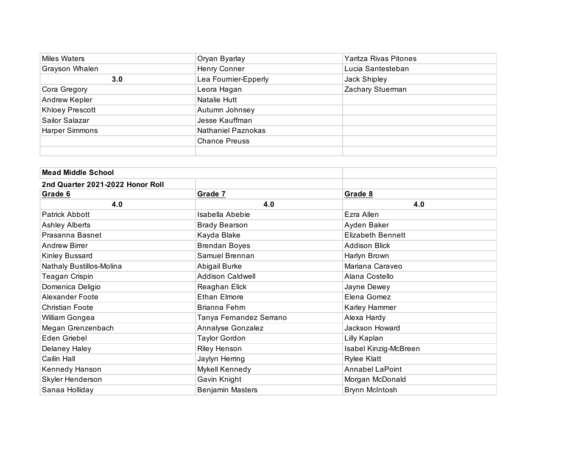| Miles Waters           | Oryan Byarlay        | Yaritza Rivas Pitones |
|------------------------|----------------------|-----------------------|
| Grayson Whalen         | Henry Conner         | Lucia Santesteban     |
| 3.0                    | Lea Fournier-Epperly | Jack Shipley          |
| Cora Gregory           | Leora Hagan          | Zachary Stuerman      |
| Andrew Kepler          | Natalie Hutt         |                       |
| <b>Khloey Prescott</b> | Autumn Johnsey       |                       |
| Sailor Salazar         | Jesse Kauffman       |                       |
| <b>Harper Simmons</b>  | Nathaniel Paznokas   |                       |
|                        | <b>Chance Preuss</b> |                       |
|                        |                      |                       |

| <b>Mead Middle School</b>        |                         |                          |
|----------------------------------|-------------------------|--------------------------|
| 2nd Quarter 2021-2022 Honor Roll |                         |                          |
| Grade 6                          | Grade 7                 | Grade 8                  |
| 4.0                              | 4.0                     | 4.0                      |
| <b>Patrick Abbott</b>            | Isabella Abebie         | Ezra Allen               |
| <b>Ashley Alberts</b>            | <b>Brady Bearson</b>    | Ayden Baker              |
| Prasanna Basnet                  | Kayda Blake             | <b>Elizabeth Bennett</b> |
| Andrew Birrer                    | <b>Brendan Boyes</b>    | <b>Addison Blick</b>     |
| Kinley Bussard                   | Samuel Brennan          | Harlyn Brown             |
| Nathaly Bustillos-Molina         | Abigail Burke           | Mariana Caraveo          |
| Teagan Crispin                   | <b>Addison Caldwell</b> | Alana Costello           |
| Domenica Deligio                 | Reaghan Elick           | Jayne Dewey              |
| Alexander Foote                  | <b>Ethan Elmore</b>     | Elena Gomez              |
| <b>Christian Foote</b>           | Brianna Fehrn           | Karley Hammer            |
| William Gongea                   | Tanya Fernandez Serrano | Alexa Hardy              |
| Megan Grenzenbach                | Annalyse Gonzalez       | Jackson Howard           |
| Eden Griebel                     | <b>Taylor Gordon</b>    | Lilly Kaplan             |
| Delaney Haley                    | <b>Riley Henson</b>     | Isabel Kinzig-McBreen    |
| Cailin Hall                      | Jaylyn Herring          | <b>Rylee Klatt</b>       |
| Kennedy Hanson                   | Mykell Kennedy          | <b>Annabel LaPoint</b>   |
| Skyler Henderson                 | Gavin Knight            | Morgan McDonald          |
| Sanaa Holliday                   | <b>Benjamin Masters</b> | Brynn McIntosh           |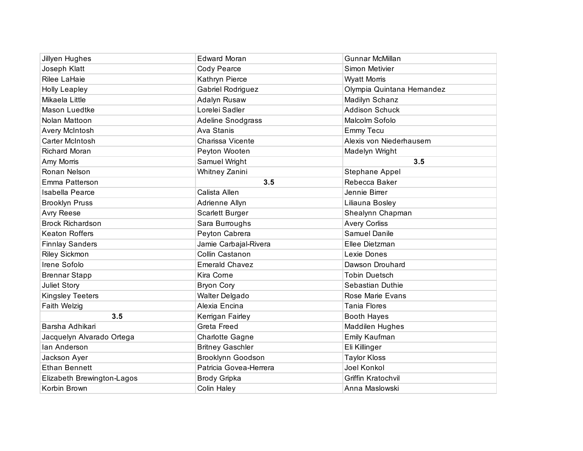| Jillyen Hughes             | <b>Edward Moran</b>      | <b>Gunnar McMillan</b>     |
|----------------------------|--------------------------|----------------------------|
| Joseph Klatt               | Cody Pearce              | Simon Metivier             |
| Rilee LaHaie               | Kathryn Pierce           | <b>Wyatt Morris</b>        |
| <b>Holly Leapley</b>       | Gabriel Rodriguez        | Olympia Quintana Hernandez |
| Mikaela Little             | Adalyn Rusaw             | Madilyn Schanz             |
| <b>Mason Luedtke</b>       | Lorelei Sadler           | <b>Addison Schuck</b>      |
| Nolan Mattoon              | <b>Adeline Snodgrass</b> | Malcolm Sofolo             |
| Avery McIntosh             | Ava Stanis               | <b>Emmy Tecu</b>           |
| Carter McIntosh            | Charissa Vicente         | Alexis von Niederhausern   |
| <b>Richard Moran</b>       | Peyton Wooten            | Madelyn Wright             |
| Amy Morris                 | Samuel Wright            | 3.5                        |
| Ronan Nelson               | Whitney Zanini           | <b>Stephane Appel</b>      |
| Emma Patterson             | 3.5                      | Rebecca Baker              |
| Isabella Pearce            | Calista Allen            | Jennie Birrer              |
| <b>Brooklyn Pruss</b>      | Adrienne Allyn           | Liliauna Bosley            |
| <b>Avry Reese</b>          | Scarlett Burger          | Shealynn Chapman           |
| <b>Brock Richardson</b>    | Sara Burroughs           | <b>Avery Corliss</b>       |
| <b>Keaton Roffers</b>      | Peyton Cabrera           | Samuel Danile              |
| <b>Finnlay Sanders</b>     | Jamie Carbajal-Rivera    | Ellee Dietzman             |
| <b>Riley Sickmon</b>       | Collin Castanon          | Lexie Dones                |
| Irene Sofolo               | <b>Emerald Chavez</b>    | Dawson Drouhard            |
| <b>Brennar Stapp</b>       | Kira Corne               | <b>Tobin Duetsch</b>       |
| Juliet Story               | <b>Bryon Cory</b>        | Sebastian Duthie           |
| Kingsley Teeters           | <b>Walter Delgado</b>    | Rose Marie Evans           |
| Faith Welzig               | Alexia Encina            | <b>Tania Flores</b>        |
| 3.5                        | Kerrigan Fairley         | <b>Booth Hayes</b>         |
| Barsha Adhikari            | Greta Freed              | <b>Maddilen Hughes</b>     |
| Jacquelyn Alvarado Ortega  | Charlotte Gagne          | Emily Kaufman              |
| lan Anderson               | <b>Britney Gaschler</b>  | Eli Killinger              |
| Jackson Ayer               | Brooklynn Goodson        | <b>Taylor Kloss</b>        |
| <b>Ethan Bennett</b>       | Patricia Govea-Herrera   | Joel Konkol                |
| Elizabeth Brewington-Lagos | Brody Gripka             | Griffin Kratochvil         |
| Korbin Brown               | Colin Haley              | Anna Maslowski             |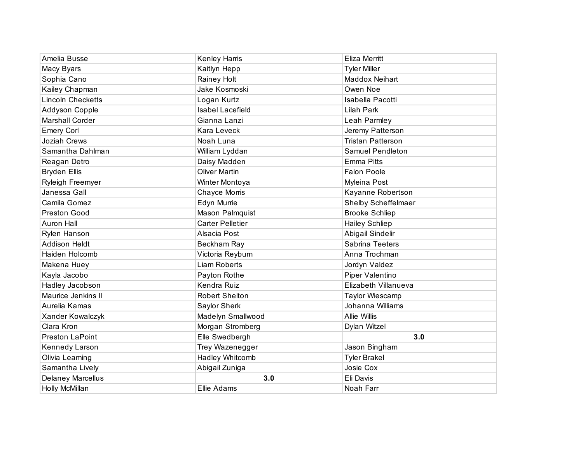| Amelia Busse             | Kenley Harris           | <b>Eliza Merritt</b>     |
|--------------------------|-------------------------|--------------------------|
| Macy Byars               | Kaitlyn Hepp            | <b>Tyler Miller</b>      |
| Sophia Cano              | Rainey Holt             | Maddox Neihart           |
| Kailey Chapman           | Jake Kosmoski           | Owen Noe                 |
| <b>Lincoln Checketts</b> | Logan Kurtz             | Isabella Pacotti         |
| Addyson Copple           | <b>Isabel Lacefield</b> | Lilah Park               |
| <b>Marshall Corder</b>   | Gianna Lanzi            | Leah Parmley             |
| <b>Emery Corl</b>        | Kara Leveck             | Jeremy Patterson         |
| Joziah Crews             | Noah Luna               | <b>Tristan Patterson</b> |
| Samantha Dahlman         | William Lyddan          | <b>Samuel Pendleton</b>  |
| Reagan Detro             | Daisy Madden            | <b>Emma Pitts</b>        |
| <b>Bryden Ellis</b>      | <b>Oliver Martin</b>    | <b>Falon Poole</b>       |
| Ryleigh Freemyer         | Winter Montoya          | Myleina Post             |
| Janessa Gall             | Chayce Morris           | Kayanne Robertson        |
| Camila Gomez             | Edyn Murrie             | Shelby Scheffelmaer      |
| Preston Good             | Mason Palmquist         | <b>Brooke Schliep</b>    |
| <b>Auron Hall</b>        | <b>Carter Pelletier</b> | <b>Hailey Schliep</b>    |
| Rylen Hanson             | Alsacia Post            | Abigail Sindelir         |
| <b>Addison Heldt</b>     | Beckham Ray             | Sabrina Teeters          |
| Haiden Holcomb           | Victoria Reyburn        | Anna Trochman            |
| Makena Huey              | <b>Liam Roberts</b>     | Jordyn Valdez            |
| Kayla Jacobo             | Payton Rothe            | Piper Valentino          |
| Hadley Jacobson          | Kendra Ruiz             | Elizabeth Villanueva     |
| Maurice Jenkins II       | <b>Robert Shelton</b>   | Taylor Wiescamp          |
| Aurelia Kamas            | Saylor Sherk            | Johanna Williams         |
| Xander Kowalczyk         | Madelyn Smallwood       | <b>Allie Willis</b>      |
| Clara Kron               | Morgan Stromberg        | Dylan Witzel             |
| Preston LaPoint          | Elle Swedbergh          | 3.0                      |
| Kennedy Larson           | Trey Wazenegger         | Jason Bingham            |
| Olivia Leaming           | Hadley Whitcomb         | <b>Tyler Brakel</b>      |
| Samantha Lively          | Abigail Zuniga          | Josie Cox                |
| <b>Delaney Marcellus</b> | 3.0                     | Eli Davis                |
| Holly McMillan           | Ellie Adams             | Noah Farr                |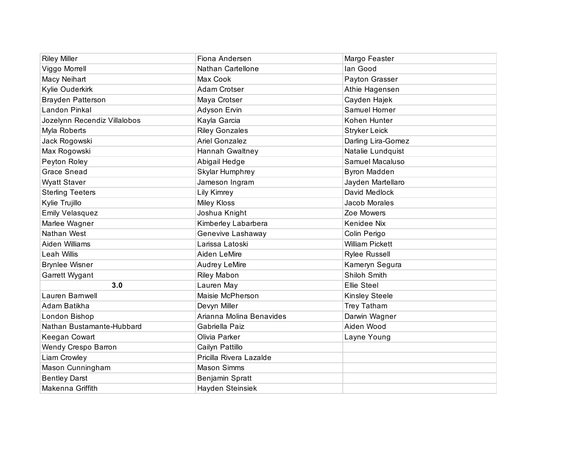| <b>Riley Miller</b>          | Fiona Andersen           | Margo Feaster          |
|------------------------------|--------------------------|------------------------|
| Viggo Morrell                | Nathan Cartellone        | lan Good               |
| Macy Neihart                 | Max Cook                 | Payton Grasser         |
| Kylie Ouderkirk              | Adam Crotser             | Athie Hagensen         |
| <b>Brayden Patterson</b>     | Maya Crotser             | Cayden Hajek           |
| Landon Pinkal                | Adyson Ervin             | Samuel Horner          |
| Jozelynn Recendiz Villalobos | Kayla Garcia             | Kohen Hunter           |
| Myla Roberts                 | <b>Riley Gonzales</b>    | <b>Stryker Leick</b>   |
| Jack Rogowski                | <b>Ariel Gonzalez</b>    | Darling Lira-Gomez     |
| Max Rogowski                 | Hannah Gwaltney          | Natalie Lundquist      |
| Peyton Roley                 | Abigail Hedge            | Samuel Macaluso        |
| <b>Grace Snead</b>           | Skylar Humphrey          | <b>Byron Madden</b>    |
| <b>Wyatt Staver</b>          | Jameson Ingram           | Jayden Martellaro      |
| <b>Sterling Teeters</b>      | Lily Kimrey              | David Medlock          |
| Kylie Trujillo               | Miley Kloss              | Jacob Morales          |
| <b>Emily Velasquez</b>       | Joshua Knight            | Zoe Mowers             |
| Marlee Wagner                | Kimberley Labarbera      | Kenidee Nix            |
| Nathan West                  | Genevive Lashaway        | Colin Perigo           |
| Aiden Williams               | Larissa Latoski          | <b>William Pickett</b> |
| Leah Willis                  | Aiden LeMire             | <b>Rylee Russell</b>   |
| <b>Brynlee Wisner</b>        | <b>Audrey LeMire</b>     | Kameryn Segura         |
| Garrett Wygant               | <b>Riley Mabon</b>       | Shiloh Smith           |
| 3.0                          | Lauren May               | Ellie Steel            |
| Lauren Barnwell              | Maisie McPherson         | <b>Kinsley Steele</b>  |
| Adam Batikha                 | Devyn Miller             | <b>Trey Tatham</b>     |
| London Bishop                | Arianna Molina Benavides | Darwin Wagner          |
| Nathan Bustamante-Hubbard    | Gabriella Paiz           | Aiden Wood             |
| Keegan Cowart                | Olivia Parker            | Layne Young            |
| Wendy Crespo Barron          | Cailyn Pattillo          |                        |
| Liam Crowley                 | Pricilla Rivera Lazalde  |                        |
| Mason Cunningham             | <b>Mason Simms</b>       |                        |
| <b>Bentley Darst</b>         | Benjamin Spratt          |                        |
| Makenna Griffith             | Hayden Steinsiek         |                        |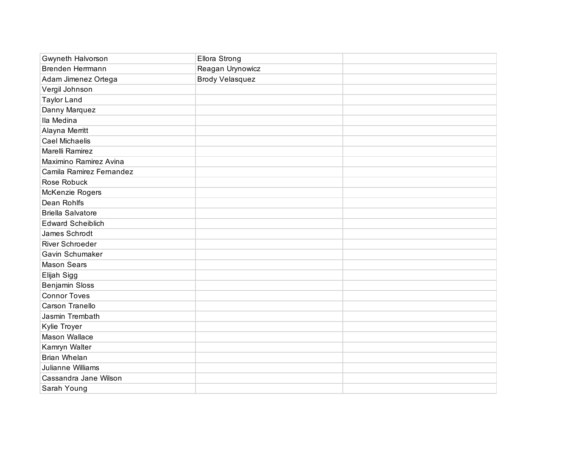| Gwyneth Halvorson        | <b>Ellora Strong</b>   |  |
|--------------------------|------------------------|--|
| Brenden Herrmann         | Reagan Urynowicz       |  |
| Adam Jimenez Ortega      | <b>Brody Velasquez</b> |  |
| Vergil Johnson           |                        |  |
| <b>Taylor Land</b>       |                        |  |
| Danny Marquez            |                        |  |
| Ila Medina               |                        |  |
| Alayna Merritt           |                        |  |
| <b>Cael Michaelis</b>    |                        |  |
| Marelli Ramirez          |                        |  |
| Maximino Ramirez Avina   |                        |  |
| Camila Ramirez Fernandez |                        |  |
| Rose Robuck              |                        |  |
| McKenzie Rogers          |                        |  |
| Dean Rohlfs              |                        |  |
| <b>Briella Salvatore</b> |                        |  |
| <b>Edward Scheiblich</b> |                        |  |
| James Schrodt            |                        |  |
| <b>River Schroeder</b>   |                        |  |
| Gavin Schumaker          |                        |  |
| <b>Mason Sears</b>       |                        |  |
| Elijah Sigg              |                        |  |
| <b>Benjamin Sloss</b>    |                        |  |
| <b>Connor Toves</b>      |                        |  |
| Carson Tranello          |                        |  |
| Jasmin Trembath          |                        |  |
| Kylie Troyer             |                        |  |
| Mason Wallace            |                        |  |
| Kamryn Walter            |                        |  |
| Brian Whelan             |                        |  |
| Julianne Williams        |                        |  |
| Cassandra Jane Wilson    |                        |  |
| Sarah Young              |                        |  |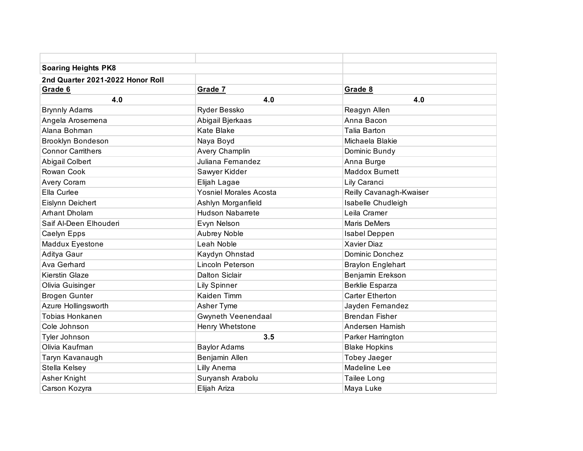| <b>Soaring Heights PK8</b>       |                               |                          |
|----------------------------------|-------------------------------|--------------------------|
| 2nd Quarter 2021-2022 Honor Roll |                               |                          |
| Grade 6                          | Grade 7                       | Grade 8                  |
| 4.0                              | 4.0                           | 4.0                      |
| <b>Brynnly Adams</b>             | Ryder Bessko                  | Reagyn Allen             |
| Angela Arosemena                 | Abigail Bjerkaas              | Anna Bacon               |
| Alana Bohman                     | <b>Kate Blake</b>             | <b>Talia Barton</b>      |
| <b>Brooklyn Bondeson</b>         | Naya Boyd                     | Michaela Blakie          |
| <b>Connor Carrithers</b>         | Avery Champlin                | Dominic Bundy            |
| Abigail Colbert                  | Juliana Fernandez             | Anna Burge               |
| Rowan Cook                       | Sawyer Kidder                 | <b>Maddox Burnett</b>    |
| Avery Coram                      | Elijah Lagae                  | Lily Caranci             |
| Ella Curlee                      | <b>Yosniel Morales Acosta</b> | Reilly Cavanagh-Kwaiser  |
| Eislynn Deichert                 | Ashlyn Morganfield            | Isabelle Chudleigh       |
| Arhant Dholam                    | <b>Hudson Nabarrete</b>       | Leila Cramer             |
| Saif Al-Deen Elhouderi           | Evyn Nelson                   | <b>Maris DeMers</b>      |
| Caelyn Epps                      | <b>Aubrey Noble</b>           | Isabel Deppen            |
| Maddux Eyestone                  | Leah Noble                    | Xavier Diaz              |
| Aditya Gaur                      | Kaydyn Ohnstad                | Dominic Donchez          |
| Ava Gerhard                      | Lincoln Peterson              | <b>Braylon Englehart</b> |
| <b>Kierstin Glaze</b>            | <b>Dalton Siclair</b>         | Benjamin Erekson         |
| Olivia Guisinger                 | <b>Lily Spinner</b>           | Berklie Esparza          |
| <b>Brogen Gunter</b>             | Kaiden Timm                   | <b>Carter Etherton</b>   |
| Azure Hollingsworth              | Asher Tyme                    | Jayden Fernandez         |
| <b>Tobias Honkanen</b>           | Gwyneth Veenendaal            | <b>Brendan Fisher</b>    |
| Cole Johnson                     | Henry Whetstone               | Andersen Harnish         |
| Tyler Johnson                    | 3.5                           | Parker Harrington        |
| Olivia Kaufman                   | <b>Baylor Adams</b>           | <b>Blake Hopkins</b>     |
| Taryn Kavanaugh                  | Benjamin Allen                | <b>Tobey Jaeger</b>      |
| Stella Kelsey                    | Lilly Anema                   | Madeline Lee             |
| Asher Knight                     | Suryansh Arabolu              | Tailee Long              |
| Carson Kozyra                    | Elijah Ariza                  | Maya Luke                |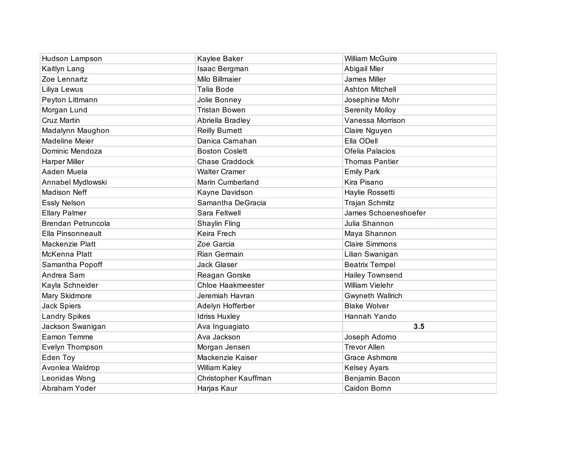| Hudson Lampson       | Kaylee Baker          | <b>William McGuire</b>  |
|----------------------|-----------------------|-------------------------|
| Kaitlyn Lang         | Isaac Bergman         | Abigail Mier            |
| Zoe Lennartz         | Milo Billmaier        | James Miller            |
| Liliya Lewus         | Talia Bode            | <b>Ashton Mitchell</b>  |
| Peyton Littmann      | Jolie Bonney          | Josephine Mohr          |
| Morgan Lund          | <b>Tristan Bowen</b>  | <b>Serenity Molloy</b>  |
| Cruz Martin          | Abriella Bradley      | Vanessa Morrison        |
| Madalynn Maughon     | <b>Reilly Burnett</b> | Claire Nguyen           |
| Madeline Meier       | Danica Carnahan       | Ella ODell              |
| Dominic Mendoza      | <b>Boston Coslett</b> | Ofelia Palacios         |
| Harper Miller        | Chase Craddock        | <b>Thomas Pantier</b>   |
| Aaden Muela          | <b>Walter Cramer</b>  | <b>Emily Park</b>       |
| Annabel Mydlowski    | Marin Cumberland      | Kira Pisano             |
| <b>Madison Neff</b>  | Kayne Davidson        | Haylie Rossetti         |
| <b>Essly Nelson</b>  | Samantha DeGracia     | Trajan Schmitz          |
| <b>Ellary Palmer</b> | Sara Feltwell         | James Schoeneshoefer    |
| Brendan Petruncola   | Shaylin Fling         | Julia Shannon           |
| Ella Pinsonneault    | Keira Frech           | Maya Shannon            |
| Mackenzie Platt      | Zoe Garcia            | <b>Claire Simmons</b>   |
| McKenna Platt        | Rian Germain          | Lilian Swanigan         |
| Samantha Popoff      | Jack Glaser           | <b>Beatrix Tempel</b>   |
| Andrea Sam           | Reagan Gorske         | Hailey Townsend         |
| Kayla Schneider      | Chloe Haakmeester     | <b>William Vielehr</b>  |
| Mary Skidmore        | Jeremiah Havran       | <b>Gwyneth Wallrich</b> |
| Jack Spiers          | Adelyn Hofferber      | <b>Blake Wolver</b>     |
| <b>Landry Spikes</b> | <b>Idriss Huxley</b>  | Hannah Yando            |
| Jackson Swanigan     | Ava Inguagiato        | 3.5                     |
| Eamon Temme          | Ava Jackson           | Joseph Adorno           |
| Evelyn Thompson      | Morgan Jensen         | <b>Trevor Allen</b>     |
| Eden Toy             | Mackenzie Kaiser      | Grace Ashmore           |
| Avonlea Waldrop      | William Kaley         | Kelsey Ayars            |
| Leonidas Wong        | Christopher Kauffman  | Benjamin Bacon          |
| Abraham Yoder        | Harjas Kaur           | Caidon Bornn            |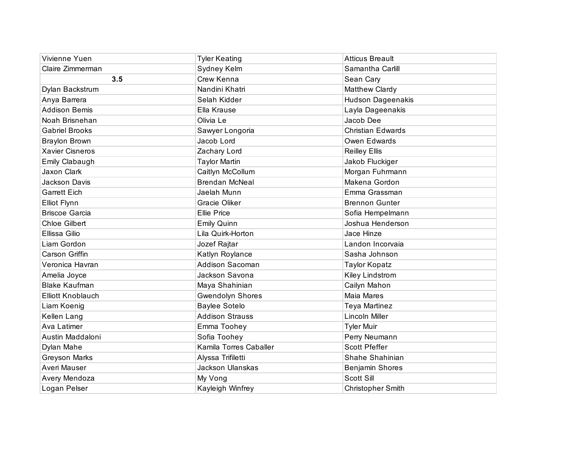| Vivienne Yuen            | <b>Tyler Keating</b>    | <b>Atticus Breault</b>   |
|--------------------------|-------------------------|--------------------------|
| Claire Zimmerman         | Sydney Kelm             | Samantha Carlill         |
| 3.5                      | Crew Kenna              | Sean Cary                |
| Dylan Backstrum          | Nandini Khatri          | Matthew Clardy           |
| Anya Barrera             | Selah Kidder            | <b>Hudson Dageenakis</b> |
| Addison Bemis            | Ella Krause             | Layla Dageenakis         |
| Noah Brisnehan           | Olivia Le               | Jacob Dee                |
| <b>Gabriel Brooks</b>    | Sawyer Longoria         | <b>Christian Edwards</b> |
| <b>Braylon Brown</b>     | Jacob Lord              | Owen Edwards             |
| <b>Xavier Cisneros</b>   | Zachary Lord            | <b>Reilley Ellis</b>     |
| Emily Clabaugh           | <b>Taylor Martin</b>    | Jakob Fluckiger          |
| Jaxon Clark              | Caitlyn McCollum        | Morgan Fuhrmann          |
| Jackson Davis            | <b>Brendan McNeal</b>   | Makena Gordon            |
| <b>Garrett Eich</b>      | Jaelah Munn             | Emma Grassman            |
| Elliot Flynn             | Gracie Oliker           | <b>Brennon Gunter</b>    |
| <b>Briscoe Garcia</b>    | <b>Ellie Price</b>      | Sofia Hempelmann         |
| <b>Chloe Gilbert</b>     | <b>Emily Quinn</b>      | Joshua Henderson         |
| Ellissa Gilio            | Lila Quirk-Horton       | Jace Hinze               |
| Liam Gordon              | Jozef Rajtar            | Landon Incorvaia         |
| <b>Carson Griffin</b>    | Katlyn Roylance         | Sasha Johnson            |
| Veronica Havran          | Addison Sacoman         | <b>Taylor Kopatz</b>     |
| Amelia Joyce             | Jackson Savona          | Kiley Lindstrom          |
| <b>Blake Kaufman</b>     | Maya Shahinian          | Cailyn Mahon             |
| <b>Elliott Knoblauch</b> | <b>Gwendolyn Shores</b> | <b>Maia Mares</b>        |
| Liam Koenig              | <b>Baylee Sotelo</b>    | Teya Martinez            |
| Kellen Lang              | <b>Addison Strauss</b>  | Lincoln Miller           |
| Ava Latimer              | Emma Toohey             | <b>Tyler Muir</b>        |
| Austin Maddaloni         | Sofia Toohey            | Perry Neumann            |
| Dylan Mahe               | Kamila Torres Caballer  | <b>Scott Pfeffer</b>     |
| <b>Greyson Marks</b>     | Alyssa Trifiletti       | Shahe Shahinian          |
| Averi Mauser             | Jackson Ulanskas        | Benjamin Shores          |
| Avery Mendoza            | My Vong                 | Scott Sill               |
| Logan Pelser             | Kayleigh Winfrey        | <b>Christopher Smith</b> |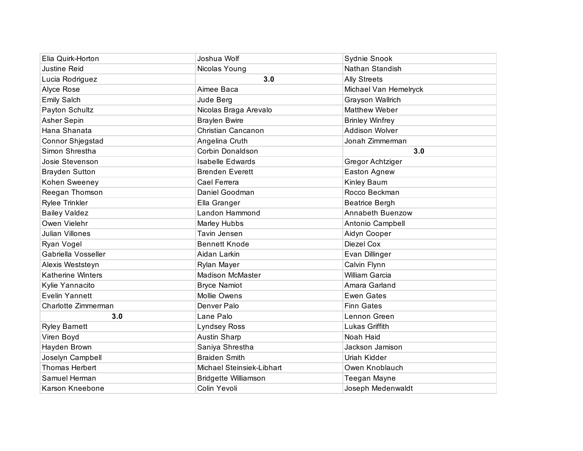| Elia Quirk-Horton        | Joshua Wolf                 | Sydnie Snook            |
|--------------------------|-----------------------------|-------------------------|
| <b>Justine Reid</b>      | Nicolas Young               | Nathan Standish         |
| Lucia Rodriguez          | 3.0                         | <b>Ally Streets</b>     |
| Alyce Rose               | Aimee Baca                  | Michael Van Hemelryck   |
| <b>Emily Salch</b>       | Jude Berg                   | Grayson Wallrich        |
| Payton Schultz           | Nicolas Braga Arevalo       | <b>Matthew Weber</b>    |
| Asher Sepin              | <b>Braylen Bwire</b>        | <b>Brinley Winfrey</b>  |
| Hana Shanata             | Christian Cancanon          | Addison Wolver          |
| Connor Shjegstad         | Angelina Cruth              | Jonah Zimmerman         |
| Simon Shrestha           | Corbin Donaldson            | 3.0                     |
| Josie Stevenson          | <b>Isabelle Edwards</b>     | Gregor Achtziger        |
| <b>Brayden Sutton</b>    | <b>Brenden Everett</b>      | Easton Agnew            |
| Kohen Sweeney            | Cael Ferrera                | Kinley Baum             |
| Reegan Thomson           | Daniel Goodman              | Rocco Beckman           |
| <b>Rylee Trinkler</b>    | Ella Granger                | Beatrice Bergh          |
| <b>Bailey Valdez</b>     | Landon Hammond              | <b>Annabeth Buenzow</b> |
| Owen Vielehr             | Marley Hubbs                | Antonio Campbell        |
| <b>Julian Villones</b>   | Tavin Jensen                | Aidyn Cooper            |
| Ryan Vogel               | <b>Bennett Knode</b>        | Diezel Cox              |
| Gabriella Vosseller      | Aidan Larkin                | Evan Dillinger          |
| Alexis Weststeyn         | Rylan Mayer                 | Calvin Flynn            |
| <b>Katherine Winters</b> | <b>Madison McMaster</b>     | William Garcia          |
| Kylie Yannacito          | <b>Bryce Namiot</b>         | Amara Garland           |
| <b>Evelin Yannett</b>    | <b>Mollie Owens</b>         | <b>Ewen Gates</b>       |
| Charlotte Zimmerman      | Denver Palo                 | <b>Finn Gates</b>       |
| 3.0                      | Lane Palo                   | Lennon Green            |
| <b>Ryley Barnett</b>     | Lyndsey Ross                | Lukas Griffith          |
| Viren Boyd               | Austin Sharp                | Noah Haid               |
| Hayden Brown             | Saniya Shrestha             | Jackson Jamison         |
| Joselyn Campbell         | <b>Braiden Smith</b>        | Uriah Kidder            |
| <b>Thomas Herbert</b>    | Michael Steinsiek-Libhart   | Owen Knoblauch          |
| Samuel Herman            | <b>Bridgette Williamson</b> | Teegan Mayne            |
| <b>Karson Kneebone</b>   | Colin Yevoli                | Joseph Medenwaldt       |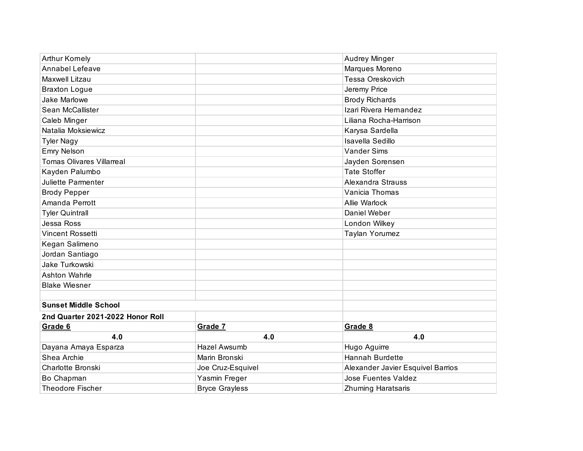| <b>Arthur Kornely</b>            |                       | Audrey Minger                     |
|----------------------------------|-----------------------|-----------------------------------|
| Annabel Lefeave                  |                       | Marques Moreno                    |
| Maxwell Litzau                   |                       | Tessa Oreskovich                  |
| <b>Braxton Logue</b>             |                       | Jeremy Price                      |
| Jake Marlowe                     |                       | <b>Brody Richards</b>             |
| Sean McCallister                 |                       | Izari Rivera Hernandez            |
| Caleb Minger                     |                       | Liliana Rocha-Harrison            |
| Natalia Moksiewicz               |                       | Karysa Sardella                   |
| <b>Tyler Nagy</b>                |                       | Isavella Sedillo                  |
| <b>Emry Nelson</b>               |                       | <b>Vander Sims</b>                |
| <b>Tomas Olivares Villarreal</b> |                       | Jayden Sorensen                   |
| Kayden Palumbo                   |                       | <b>Tate Stoffer</b>               |
| Juliette Parmenter               |                       | Alexandra Strauss                 |
| <b>Brody Pepper</b>              |                       | Vanicia Thomas                    |
| Amanda Perrott                   |                       | <b>Allie Warlock</b>              |
| <b>Tyler Quintrall</b>           |                       | Daniel Weber                      |
| Jessa Ross                       |                       | London Wilkey                     |
| Vincent Rossetti                 |                       | Taylan Yorumez                    |
| Kegan Salimeno                   |                       |                                   |
| Jordan Santiago                  |                       |                                   |
| Jake Turkowski                   |                       |                                   |
| Ashton Wahrle                    |                       |                                   |
| <b>Blake Wiesner</b>             |                       |                                   |
|                                  |                       |                                   |
| <b>Sunset Middle School</b>      |                       |                                   |
| 2nd Quarter 2021-2022 Honor Roll |                       |                                   |
| Grade 6                          | Grade 7               | Grade 8                           |
| 4.0                              | 4.0                   | 4.0                               |
| Dayana Amaya Esparza             | <b>Hazel Awsumb</b>   | Hugo Aguirre                      |
| Shea Archie                      | Marin Bronski         | Hannah Burdette                   |
| Charlotte Bronski                | Joe Cruz-Esquivel     | Alexander Javier Esquivel Barrios |
| Bo Chapman                       | Yasmin Freger         | <b>Jose Fuentes Valdez</b>        |
| Theodore Fischer                 | <b>Bryce Grayless</b> | <b>Zhuming Haratsaris</b>         |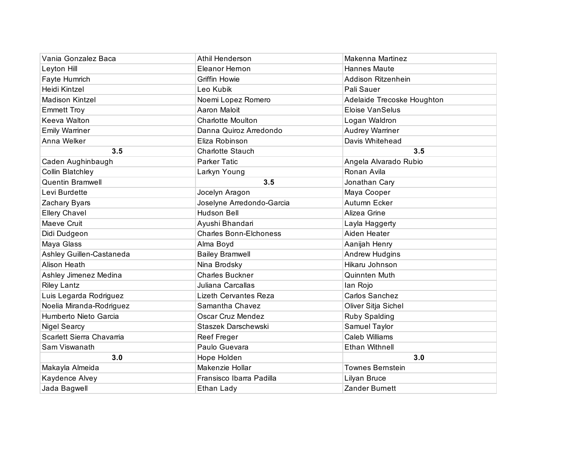| Vania Gonzalez Baca       | Athil Henderson               | Makenna Martinez           |
|---------------------------|-------------------------------|----------------------------|
| Leyton Hill               | Eleanor Hernon                | Hannes Maute               |
| Fayte Humrich             | <b>Griffin Howie</b>          | Addison Ritzenhein         |
| Heidi Kintzel             | Leo Kubik                     | Pali Sauer                 |
| <b>Madison Kintzel</b>    | Noemi Lopez Romero            | Adelaide Trecoske Houghton |
| <b>Emmett Troy</b>        | Aaron Maloit                  | <b>Eloise VanSelus</b>     |
| Keeva Walton              | <b>Charlotte Moulton</b>      | Logan Waldron              |
| <b>Emily Warriner</b>     | Danna Quiroz Arredondo        | Audrey Warriner            |
| Anna Welker               | Eliza Robinson                | Davis Whitehead            |
| 3.5                       | <b>Charlotte Stauch</b>       | 3.5                        |
| Caden Aughinbaugh         | Parker Tatic                  | Angela Alvarado Rubio      |
| Collin Blatchley          | Larkyn Young                  | Ronan Avila                |
| <b>Quentin Bramwell</b>   | 3.5                           | Jonathan Cary              |
| Levi Burdette             | Jocelyn Aragon                | Maya Cooper                |
| Zachary Byars             | Joselyne Arredondo-Garcia     | Autumn Ecker               |
| <b>Ellery Chavel</b>      | <b>Hudson Bell</b>            | Alizea Grine               |
| Maeve Cruit               | Ayushi Bhandari               | Layla Haggerty             |
| Didi Dudgeon              | <b>Charles Bonn-Elchoness</b> | Aiden Heater               |
| Maya Glass                | Alma Boyd                     | Aanijah Henry              |
| Ashley Guillen-Castaneda  | <b>Bailey Bramwell</b>        | Andrew Hudgins             |
| <b>Alison Heath</b>       | Nina Brodsky                  | Hikaru Johnson             |
| Ashley Jimenez Medina     | <b>Charles Buckner</b>        | Quinnten Muth              |
| <b>Riley Lantz</b>        | Juliana Carcallas             | lan Rojo                   |
| Luis Legarda Rodriguez    | <b>Lizeth Cervantes Reza</b>  | Carlos Sanchez             |
| Noelia Miranda-Rodriguez  | Samantha Chavez               | Oliver Sitja Sichel        |
| Humberto Nieto Garcia     | <b>Oscar Cruz Mendez</b>      | Ruby Spalding              |
| <b>Nigel Searcy</b>       | Staszek Darschewski           | Samuel Taylor              |
| Scarlett Sierra Chavarria | Reef Freger                   | <b>Caleb Williams</b>      |
| Sam Viswanath             | Paulo Guevara                 | <b>Ethan Withnell</b>      |
| 3.0                       | Hope Holden                   | 3.0                        |
| Makayla Almeida           | Makenzie Hollar               | <b>Townes Bernstein</b>    |
| Kaydence Alvey            | Fransisco Ibarra Padilla      | Lilyan Bruce               |
| Jada Bagwell              | Ethan Lady                    | <b>Zander Burnett</b>      |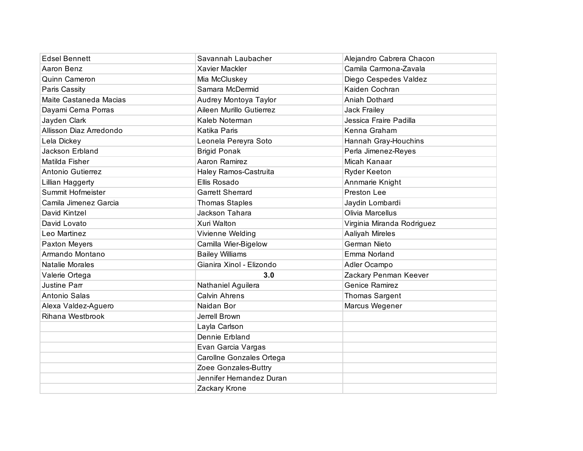| <b>Edsel Bennett</b>    | Savannah Laubacher       | Alejandro Cabrera Chacon   |
|-------------------------|--------------------------|----------------------------|
| Aaron Benz              | <b>Xavier Mackler</b>    | Camila Carmona-Zavala      |
| Quinn Cameron           | Mia McCluskey            | Diego Cespedes Valdez      |
| Paris Cassity           | Samara McDermid          | Kaiden Cochran             |
| Maite Castaneda Macias  | Audrey Montoya Taylor    | Aniah Dothard              |
| Dayami Cerna Porras     | Aileen Murillo Gutierrez | Jack Frailey               |
| Jayden Clark            | Kaleb Noterman           | Jessica Fraire Padilla     |
| Allisson Diaz Arredondo | Katika Paris             | Kenna Graham               |
| Lela Dickey             | Leonela Pereyra Soto     | Hannah Gray-Houchins       |
| Jackson Erbland         | <b>Brigid Ponak</b>      | Perla Jimenez-Reyes        |
| Matilda Fisher          | Aaron Ramirez            | Micah Kanaar               |
| Antonio Gutierrez       | Haley Ramos-Castruita    | <b>Ryder Keeton</b>        |
| Lillian Haggerty        | Ellis Rosado             | Annmarie Knight            |
| Summit Hofmeister       | <b>Garrett Sherrard</b>  | Preston Lee                |
| Camila Jimenez Garcia   | <b>Thomas Staples</b>    | Jaydin Lombardi            |
| David Kintzel           | Jackson Tahara           | Olivia Marcellus           |
| David Lovato            | Xuri Walton              | Virginia Miranda Rodriguez |
| Leo Martinez            | Vivienne Welding         | Aaliyah Mireles            |
| Paxton Meyers           | Camilla Wier-Bigelow     | German Nieto               |
| Armando Montano         | <b>Bailey Williams</b>   | Emma Norland               |
| <b>Natalie Morales</b>  | Gianira Xinol - Elizondo | Adler Ocampo               |
| Valerie Ortega          | 3.0                      | Zackary Penman Keever      |
| Justine Parr            | Nathaniel Aguilera       | <b>Genice Ramirez</b>      |
| Antonio Salas           | <b>Calvin Ahrens</b>     | <b>Thomas Sargent</b>      |
| Alexa Valdez-Aguero     | Naidan Bor               | Marcus Wegener             |
| Rihana Westbrook        | Jerrell Brown            |                            |
|                         | Layla Carlson            |                            |
|                         | Dennie Erbland           |                            |
|                         | Evan Garcia Vargas       |                            |
|                         | Carollne Gonzales Ortega |                            |
|                         | Zoee Gonzales-Buttry     |                            |
|                         | Jennifer Hernandez Duran |                            |
|                         | Zackary Krone            |                            |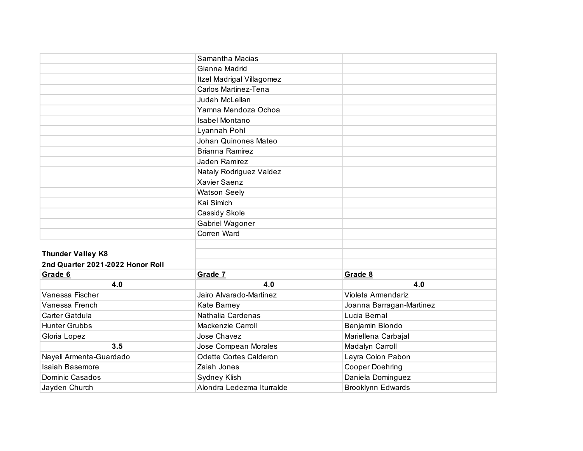|                                  | Samantha Macias           |                          |
|----------------------------------|---------------------------|--------------------------|
|                                  | Gianna Madrid             |                          |
|                                  | Itzel Madrigal Villagomez |                          |
|                                  | Carlos Martinez-Tena      |                          |
|                                  | Judah McLellan            |                          |
|                                  | Yamna Mendoza Ochoa       |                          |
|                                  | <b>Isabel Montano</b>     |                          |
|                                  | Lyannah Pohl              |                          |
|                                  | Johan Quinones Mateo      |                          |
|                                  | <b>Brianna Ramirez</b>    |                          |
|                                  | Jaden Ramirez             |                          |
|                                  | Nataly Rodriguez Valdez   |                          |
|                                  | <b>Xavier Saenz</b>       |                          |
|                                  | <b>Watson Seely</b>       |                          |
|                                  | Kai Simich                |                          |
|                                  | Cassidy Skole             |                          |
|                                  | Gabriel Wagoner           |                          |
|                                  | Corren Ward               |                          |
|                                  |                           |                          |
| <b>Thunder Valley K8</b>         |                           |                          |
| 2nd Quarter 2021-2022 Honor Roll |                           |                          |
| Grade 6                          | Grade 7                   | Grade 8                  |
| 4.0                              | 4.0                       | 4.0                      |
| Vanessa Fischer                  | Jairo Alvarado-Martinez   | Violeta Armendariz       |
| Vanessa French                   | Kate Barney               | Joanna Barragan-Martinez |
| Carter Gatdula                   | Nathalia Cardenas         | Lucia Bernal             |
| <b>Hunter Grubbs</b>             | Mackenzie Carroll         | Benjamin Blondo          |
| Gloria Lopez                     | Jose Chavez               | Mariellena Carbajal      |
| 3.5                              | Jose Compean Morales      | Madalyn Carroll          |
| Nayeli Armenta-Guardado          | Odette Cortes Calderon    | Layra Colon Pabon        |
| Isaiah Basemore                  | Zaiah Jones               | <b>Cooper Doehring</b>   |
| Dominic Casados                  | Sydney Klish              | Daniela Dominguez        |
| Jayden Church                    | Alondra Ledezma Iturralde | <b>Brooklynn Edwards</b> |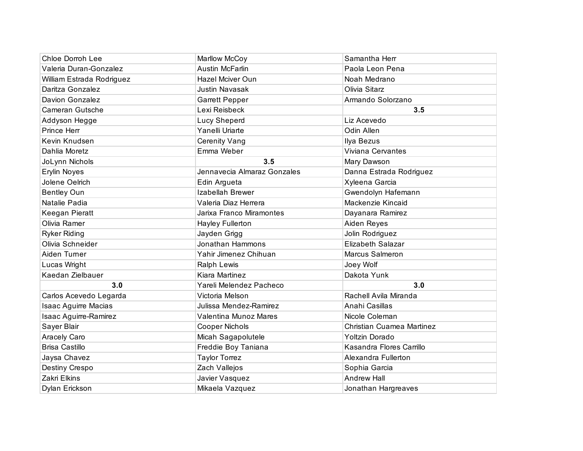| <b>Chloe Dorroh Lee</b>     | Marllow McCoy               | Samantha Herr             |
|-----------------------------|-----------------------------|---------------------------|
| Valeria Duran-Gonzalez      | <b>Austin McFarlin</b>      | Paola Leon Pena           |
| William Estrada Rodriguez   | Hazel Mciver Oun            | Noah Medrano              |
| Daritza Gonzalez            | <b>Justin Navasak</b>       | Olivia Sitarz             |
| Davion Gonzalez             | <b>Garrett Pepper</b>       | Armando Solorzano         |
| Cameran Gutsche             | Lexi Reisbeck               | 3.5                       |
| Addyson Hegge               | <b>Lucy Sheperd</b>         | Liz Acevedo               |
| Prince Herr                 | Yanelli Uriarte             | Odin Allen                |
| Kevin Knudsen               | <b>Cerenity Vang</b>        | Ilya Bezus                |
| Dahlia Moretz               | Emma Weber                  | Viviana Cervantes         |
| JoLynn Nichols              | 3.5                         | Mary Dawson               |
| <b>Erylin Noyes</b>         | Jennavecia Almaraz Gonzales | Danna Estrada Rodriguez   |
| Jolene Oelrich              | Edin Argueta                | Xyleena Garcia            |
| <b>Bentley Oun</b>          | Izabellah Brewer            | Gwendolyn Hafemann        |
| Natalie Padia               | Valeria Diaz Herrera        | Mackenzie Kincaid         |
| Keegan Pieratt              | Jarixa Franco Miramontes    | Dayanara Ramirez          |
| Olivia Ramer                | <b>Hayley Fullerton</b>     | Aiden Reyes               |
| <b>Ryker Riding</b>         | Jayden Grigg                | Jolin Rodriguez           |
| Olivia Schneider            | Jonathan Hammons            | Elizabeth Salazar         |
| Aiden Turner                | Yahir Jimenez Chihuan       | Marcus Salmeron           |
| Lucas Wright                | Ralph Lewis                 | Joey Wolf                 |
| Kaedan Zielbauer            | Kiara Martinez              | Dakota Yunk               |
| 3.0                         | Yareli Melendez Pacheco     | 3.0                       |
| Carlos Acevedo Legarda      | Victoria Melson             | Rachell Avila Miranda     |
| <b>Isaac Aguirre Macias</b> | Julissa Mendez-Ramirez      | Anahi Casillas            |
| Isaac Aguirre-Ramirez       | Valentina Munoz Mares       | Nicole Coleman            |
| Sayer Blair                 | Cooper Nichols              | Christian Cuamea Martinez |
| Aracely Caro                | Micah Sagapolutele          | Yoltzin Dorado            |
| <b>Brisa Castillo</b>       | Freddie Boy Taniana         | Kasandra Flores Carrillo  |
| Jaysa Chavez                | <b>Taylor Torrez</b>        | Alexandra Fullerton       |
| Destiny Crespo              | Zach Vallejos               | Sophia Garcia             |
| Zakri Elkins                | Javier Vasquez              | <b>Andrew Hall</b>        |
| Dylan Erickson              | Mikaela Vazquez             | Jonathan Hargreaves       |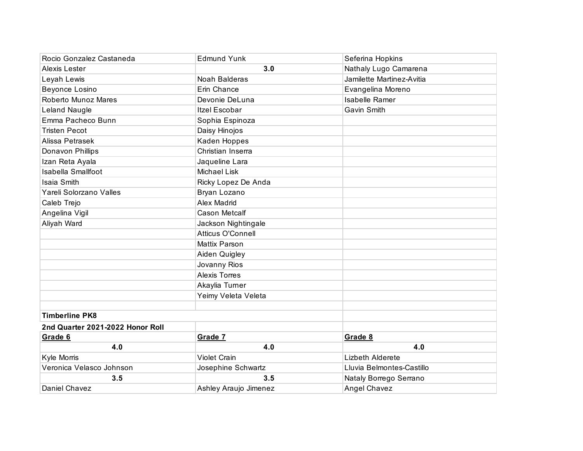| Rocio Gonzalez Castaneda         | <b>Edmund Yunk</b>       | Seferina Hopkins          |
|----------------------------------|--------------------------|---------------------------|
| Alexis Lester                    | 3.0                      | Nathaly Lugo Camarena     |
| Leyah Lewis                      | Noah Balderas            | Jamilette Martinez-Avitia |
| Beyonce Losino                   | Erin Chance              | Evangelina Moreno         |
| Roberto Munoz Mares              | Devonie DeLuna           | <b>Isabelle Ramer</b>     |
| <b>Leland Naugle</b>             | <b>Itzel Escobar</b>     | <b>Gavin Smith</b>        |
| Emma Pacheco Bunn                | Sophia Espinoza          |                           |
| <b>Tristen Pecot</b>             | Daisy Hinojos            |                           |
| Alissa Petrasek                  | Kaden Hoppes             |                           |
| Donavon Phillips                 | Christian Inserra        |                           |
| Izan Reta Ayala                  | Jaqueline Lara           |                           |
| <b>Isabella Smallfoot</b>        | <b>Michael Lisk</b>      |                           |
| Isaia Smith                      | Ricky Lopez De Anda      |                           |
| Yareli Solorzano Valles          | Bryan Lozano             |                           |
| Caleb Trejo                      | <b>Alex Madrid</b>       |                           |
| Angelina Vigil                   | <b>Cason Metcalf</b>     |                           |
| Aliyah Ward                      | Jackson Nightingale      |                           |
|                                  | <b>Atticus O'Connell</b> |                           |
|                                  | <b>Mattix Parson</b>     |                           |
|                                  | Aiden Quigley            |                           |
|                                  | Jovanny Rios             |                           |
|                                  | <b>Alexis Torres</b>     |                           |
|                                  | Akaylia Turner           |                           |
|                                  | Yeimy Veleta Veleta      |                           |
|                                  |                          |                           |
| <b>Timberline PK8</b>            |                          |                           |
| 2nd Quarter 2021-2022 Honor Roll |                          |                           |
| Grade 6                          | Grade 7                  | Grade 8                   |
| 4.0                              | 4.0                      | 4.0                       |
| Kyle Morris                      | <b>Violet Crain</b>      | Lizbeth Alderete          |
| Veronica Velasco Johnson         | Josephine Schwartz       | Lluvia Belmontes-Castillo |
| 3.5                              | 3.5                      | Nataly Borrego Serrano    |
| Daniel Chavez                    | Ashley Araujo Jimenez    | <b>Angel Chavez</b>       |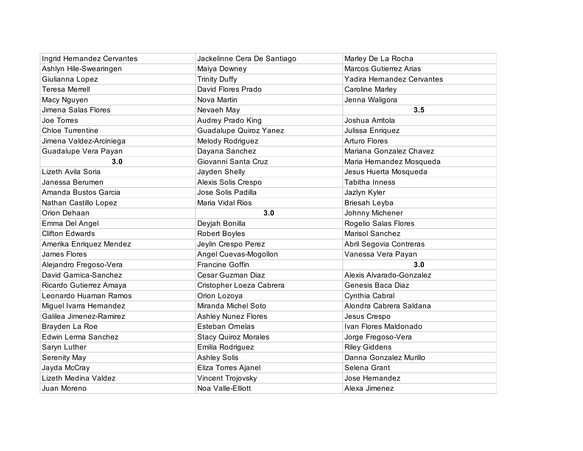| Ingrid Hernandez Cervantes | Jackelinne Cera De Santiago   | Marley De La Rocha            |
|----------------------------|-------------------------------|-------------------------------|
| Ashlyn Hile-Swearingen     | Maiya Downey                  | <b>Marcos Gutierrez Arias</b> |
| Giulianna Lopez            | <b>Trinity Duffy</b>          | Yadira Hernandez Cervantes    |
| <b>Teresa Merrell</b>      | David Flores Prado            | Caroline Marley               |
| Macy Nguyen                | Nova Martin                   | Jenna Waligora                |
| Jimena Salas Flores        | Nevaeh May                    | 3.5                           |
| Joe Torres                 | Audrey Prado King             | Joshua Arritola               |
| <b>Chloe Turrentine</b>    | <b>Guadalupe Quiroz Yanez</b> | Julissa Enriquez              |
| Jimena Valdez-Arciniega    | Melody Rodriguez              | <b>Arturo Flores</b>          |
| Guadalupe Vera Payan       | Dayana Sanchez                | Mariana Gonzalez Chavez       |
| 3.0                        | Giovanni Santa Cruz           | Maria Hernandez Mosqueda      |
| Lizeth Avila Soria         | Jayden Shelly                 | Jesus Huerta Mosqueda         |
| Janessa Berumen            | Alexis Solis Crespo           | <b>Tabitha Inness</b>         |
| Amanda Bustos Garcia       | Jose Solis Padilla            | Jazlyn Kyler                  |
| Nathan Castillo Lopez      | Maria Vidal Rios              | Briesah Leyba                 |
| Orion Dehaan               | 3.0                           | Johnny Michener               |
| Emma Del Angel             | Deyjah Bonilla                | Rogelio Salas Flores          |
| <b>Clifton Edwards</b>     | Robert Boyles                 | <b>Marisol Sanchez</b>        |
| Amerika Enriquez Mendez    | Jeylin Crespo Perez           | Abril Segovia Contreras       |
| James Flores               | Angel Cuevas-Mogollon         | Vanessa Vera Payan            |
| Alejandro Fregoso-Vera     | <b>Francine Goffin</b>        | 3.0                           |
| David Garnica-Sanchez      | Cesar Guzman Diaz             | Alexis Alvarado-Gonzalez      |
| Ricardo Gutierrez Amaya    | Cristopher Loeza Cabrera      | Genesis Baca Diaz             |
| Leonardo Huaman Ramos      | Orion Lozoya                  | Cynthia Cabral                |
| Miguel Ivarra Hernandez    | Miranda Michel Soto           | Alondra Cabrera Saldana       |
| Galilea Jimenez-Ramirez    | <b>Ashley Nunez Flores</b>    | Jesus Crespo                  |
| Brayden La Roe             | Esteban Ornelas               | Ivan Flores Maldonado         |
| Edwin Lerma Sanchez        | <b>Stacy Quiroz Morales</b>   | Jorge Fregoso-Vera            |
| Saryn Luther               | Emilia Rodriguez              | <b>Riley Giddens</b>          |
| Serenity May               | <b>Ashley Solis</b>           | Danna Gonzalez Murillo        |
| Jayda McCray               | Eliza Torres Ajanel           | Selena Grant                  |
| Lizeth Medina Valdez       | Vincent Trojovsky             | Jose Hernandez                |
| Juan Moreno                | Noa Valle-Elliott             | Alexa Jimenez                 |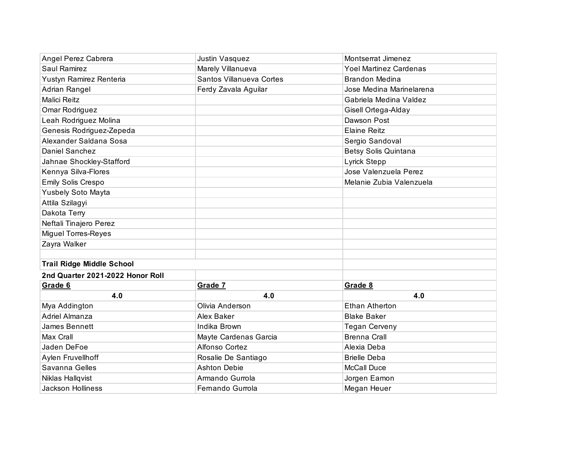| Angel Perez Cabrera              | Justin Vasquez           | Montserrat Jimenez          |
|----------------------------------|--------------------------|-----------------------------|
| Saul Ramirez                     | Marely Villanueva        | Yoel Martinez Cardenas      |
| Yustyn Ramirez Renteria          | Santos Villanueva Cortes | <b>Brandon Medina</b>       |
| Adrian Rangel                    | Ferdy Zavala Aguilar     | Jose Medina Marinelarena    |
| <b>Malici Reitz</b>              |                          | Gabriela Medina Valdez      |
| Omar Rodriguez                   |                          | Gisell Ortega-Alday         |
| Leah Rodriguez Molina            |                          | Dawson Post                 |
| Genesis Rodriguez-Zepeda         |                          | <b>Elaine Reitz</b>         |
| Alexander Saldana Sosa           |                          | Sergio Sandoval             |
| Daniel Sanchez                   |                          | <b>Betsy Solis Quintana</b> |
| Jahnae Shockley-Stafford         |                          | Lyrick Stepp                |
| Kennya Silva-Flores              |                          | Jose Valenzuela Perez       |
| Emily Solis Crespo               |                          | Melanie Zubia Valenzuela    |
| Yusbely Soto Mayta               |                          |                             |
| Attila Szilagyi                  |                          |                             |
| Dakota Terry                     |                          |                             |
| Neftali Tinajero Perez           |                          |                             |
| Miguel Torres-Reyes              |                          |                             |
| Zayra Walker                     |                          |                             |
|                                  |                          |                             |
| <b>Trail Ridge Middle School</b> |                          |                             |
| 2nd Quarter 2021-2022 Honor Roll |                          |                             |
| Grade 6                          | Grade 7                  | Grade 8                     |
| 4.0                              | 4.0                      | 4.0                         |
| Mya Addington                    | Olivia Anderson          | <b>Ethan Atherton</b>       |
| <b>Adriel Almanza</b>            | Alex Baker               | <b>Blake Baker</b>          |
| James Bennett                    | Indika Brown             | <b>Tegan Cerveny</b>        |
| Max Crall                        | Mayte Cardenas Garcia    | <b>Brenna Crall</b>         |
| Jaden DeFoe                      | Alfonso Cortez           | Alexia Deba                 |
| Aylen Fruvellhoff                | Rosalie De Santiago      | <b>Brielle Deba</b>         |
| Savanna Gelles                   | <b>Ashton Debie</b>      | <b>McCall Duce</b>          |
| Niklas Hallqvist                 | Armando Gurrola          | Jorgen Eamon                |
| Jackson Holliness                | Fernando Gurrola         | Megan Heuer                 |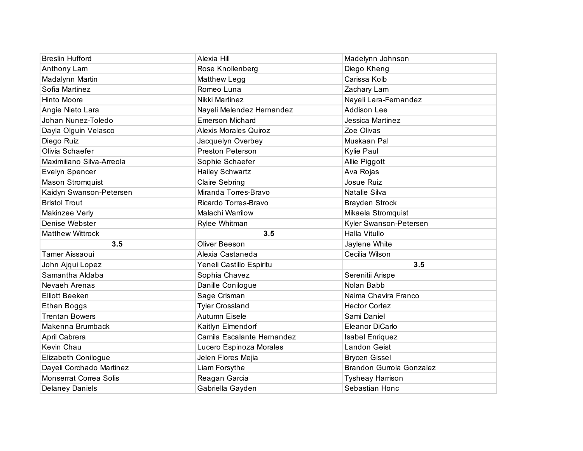| <b>Breslin Hufford</b>        | Alexia Hill                  | Madelynn Johnson                |
|-------------------------------|------------------------------|---------------------------------|
| Anthony Lam                   | Rose Knollenberg             | Diego Kheng                     |
| Madalynn Martin               | Matthew Legg                 | Carissa Kolb                    |
| Sofia Martinez                | Romeo Luna                   | Zachary Lam                     |
| Hinto Moore                   | Nikki Martinez               | Nayeli Lara-Fernandez           |
| Angie Nieto Lara              | Nayeli Melendez Hernandez    | <b>Addison Lee</b>              |
| Johan Nunez-Toledo            | <b>Emerson Michard</b>       | Jessica Martinez                |
| Dayla Olguin Velasco          | <b>Alexis Morales Quiroz</b> | Zoe Olivas                      |
| Diego Ruiz                    | Jacquelyn Overbey            | Muskaan Pal                     |
| Olivia Schaefer               | Preston Peterson             | Kylie Paul                      |
| Maximiliano Silva-Arreola     | Sophie Schaefer              | Allie Piggott                   |
| Evelyn Spencer                | <b>Hailey Schwartz</b>       | Ava Rojas                       |
| Mason Stromquist              | Claire Sebring               | Josue Ruiz                      |
| Kaidyn Swanson-Petersen       | Miranda Torres-Bravo         | Natalie Silva                   |
| <b>Bristol Trout</b>          | Ricardo Torres-Bravo         | <b>Brayden Strock</b>           |
| Makinzee Verly                | Malachi Warrilow             | Mikaela Stromquist              |
| Denise Webster                | Rylee Whitman                | Kyler Swanson-Petersen          |
|                               |                              |                                 |
| <b>Matthew Wittrock</b>       | 3.5                          | Halla Vitullo                   |
| 3.5                           | Oliver Beeson                | Jaylene White                   |
| Tamer Aissaoui                | Alexia Castaneda             | Cecilia Wilson                  |
| John Ajqui Lopez              | Yeneli Castillo Espiritu     | 3.5                             |
| Samantha Aldaba               | Sophia Chavez                | Serenitii Arispe                |
| Nevaeh Arenas                 | Danille Conilogue            | Nolan Babb                      |
| <b>Elliott Beeken</b>         | Sage Crisman                 | Naima Chavira Franco            |
| <b>Ethan Boggs</b>            | <b>Tyler Crossland</b>       | <b>Hector Cortez</b>            |
| <b>Trentan Bowers</b>         | Autumn Eisele                | Sami Daniel                     |
| Makenna Brumback              | Kaitlyn Elmendorf            | Eleanor DiCarlo                 |
| April Cabrera                 | Camila Escalante Hernandez   | <b>Isabel Enriquez</b>          |
| Kevin Chau                    | Lucero Espinoza Morales      | <b>Landon Geist</b>             |
| Elizabeth Conilogue           | Jelen Flores Mejia           | <b>Brycen Gissel</b>            |
| Dayeli Corchado Martinez      | Liam Forsythe                | <b>Brandon Gurrola Gonzalez</b> |
| <b>Monserrat Correa Solis</b> | Reagan Garcia                | <b>Tysheay Harrison</b>         |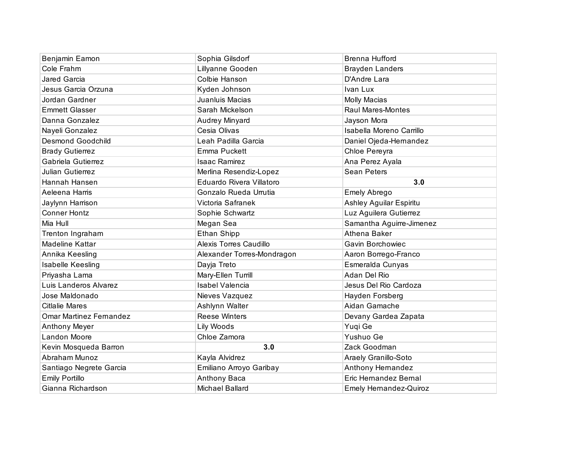| Benjamin Eamon                 | Sophia Gilsdorf            | <b>Brenna Hufford</b>         |
|--------------------------------|----------------------------|-------------------------------|
| Cole Frahm                     | Lillyanne Gooden           | <b>Brayden Landers</b>        |
| Jared Garcia                   | Colbie Hanson              | D'Andre Lara                  |
| Jesus Garcia Orzuna            | Kyden Johnson              | Ivan Lux                      |
| Jordan Gardner                 | Juanluis Macias            | <b>Molly Macias</b>           |
| <b>Emmett Glasser</b>          | Sarah Mickelson            | <b>Raul Mares-Montes</b>      |
| Danna Gonzalez                 | Audrey Minyard             | Jayson Mora                   |
| Nayeli Gonzalez                | Cesia Olivas               | Isabella Moreno Carrillo      |
| <b>Desmond Goodchild</b>       | Leah Padilla Garcia        | Daniel Ojeda-Hernandez        |
| <b>Brady Gutierrez</b>         | Emma Puckett               | Chloe Pereyra                 |
| Gabriela Gutierrez             | <b>Isaac Ramirez</b>       | Ana Perez Ayala               |
| <b>Julian Gutierrez</b>        | Merlina Resendiz-Lopez     | <b>Sean Peters</b>            |
| Hannah Hansen                  | Eduardo Rivera Villatoro   | 3.0                           |
| Aeleena Harris                 | Gonzalo Rueda Urrutia      | Emely Abrego                  |
| Jaylynn Harrison               | Victoria Safranek          | Ashley Aguilar Espiritu       |
| <b>Conner Hontz</b>            | Sophie Schwartz            | Luz Aguilera Gutierrez        |
| Mia Hull                       | Megan Sea                  | Samantha Aguirre-Jimenez      |
| Trenton Ingraham               | Ethan Shipp                | Athena Baker                  |
| Madeline Kattar                | Alexis Torres Caudillo     | Gavin Borchowiec              |
| Annika Keesling                | Alexander Torres-Mondragon | Aaron Borrego-Franco          |
| Isabelle Keesling              | Dayja Treto                | Esmeralda Cunyas              |
| Priyasha Lama                  | Mary-Ellen Turrill         | Adan Del Rio                  |
| Luis Landeros Alvarez          | <b>Isabel Valencia</b>     | Jesus Del Rio Cardoza         |
| Jose Maldonado                 | Nieves Vazquez             | Hayden Forsberg               |
| <b>Citlalie Mares</b>          | Ashlynn Walter             | Aidan Gamache                 |
| <b>Omar Martinez Fernandez</b> | <b>Reese Winters</b>       | Devany Gardea Zapata          |
| <b>Anthony Meyer</b>           | Lily Woods                 | Yuqi Ge                       |
| <b>Landon Moore</b>            | Chloe Zamora               | Yushuo Ge                     |
| Kevin Mosqueda Barron          | 3.0                        | Zack Goodman                  |
| Abraham Munoz                  | Kayla Alvidrez             | Araely Granillo-Soto          |
| Santiago Negrete Garcia        | Emiliano Arroyo Garibay    | Anthony Hernandez             |
| <b>Emily Portillo</b>          | Anthony Baca               | Eric Hernandez Bernal         |
| Gianna Richardson              | Michael Ballard            | <b>Emely Hernandez-Quiroz</b> |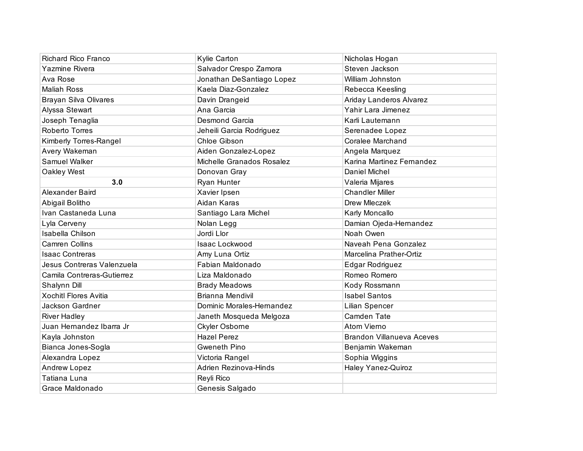| <b>Richard Rico Franco</b>   | Kylie Carton              | Nicholas Hogan                   |
|------------------------------|---------------------------|----------------------------------|
| Yazmine Rivera               | Salvador Crespo Zamora    | Steven Jackson                   |
| Ava Rose                     | Jonathan DeSantiago Lopez | William Johnston                 |
| <b>Maliah Ross</b>           | Kaela Diaz-Gonzalez       | Rebecca Keesling                 |
| Brayan Silva Olivares        | Davin Drangeid            | Ariday Landeros Alvarez          |
| Alyssa Stewart               | Ana Garcia                | Yahir Lara Jimenez               |
| Joseph Tenaglia              | Desmond Garcia            | Karli Lautemann                  |
| Roberto Torres               | Jeheili Garcia Rodriguez  | Serenadee Lopez                  |
| Kimberly Torres-Rangel       | Chloe Gibson              | Coralee Marchand                 |
| Avery Wakeman                | Aiden Gonzalez-Lopez      | Angela Marquez                   |
| Samuel Walker                | Michelle Granados Rosalez | Karina Martinez Fernandez        |
| Oakley West                  | Donovan Gray              | Daniel Michel                    |
| 3.0                          | Ryan Hunter               | Valeria Mijares                  |
| Alexander Baird              | Xavier Ipsen              | <b>Chandler Miller</b>           |
| Abigail Bolitho              | Aidan Karas               | Drew Mleczek                     |
| Ivan Castaneda Luna          | Santiago Lara Michel      | Karly Moncallo                   |
| Lyla Cerveny                 | Nolan Legg                | Damian Ojeda-Hernandez           |
| Isabella Chilson             | Jordi Llor                | Noah Owen                        |
| <b>Camren Collins</b>        | Isaac Lockwood            | Naveah Pena Gonzalez             |
| <b>Isaac Contreras</b>       | Amy Luna Ortiz            | Marcelina Prather-Ortiz          |
| Jesus Contreras Valenzuela   | Fabian Maldonado          | Edgar Rodriguez                  |
| Camila Contreras-Gutierrez   | Liza Maldonado            | Romeo Romero                     |
| Shalynn Dill                 | <b>Brady Meadows</b>      | Kody Rossmann                    |
| <b>Xochitl Flores Avitia</b> | <b>Brianna Mendivil</b>   | <b>Isabel Santos</b>             |
| Jackson Gardner              | Dominic Morales-Hernandez | Lilian Spencer                   |
| <b>River Hadley</b>          | Janeth Mosqueda Melgoza   | Camden Tate                      |
| Juan Hemandez Ibarra Jr      | Ckyler Osborne            | Atom Vierno                      |
| Kayla Johnston               | <b>Hazel Perez</b>        | <b>Brandon Villanueva Aceves</b> |
| Bianca Jones-Sogla           | Gweneth Pino              | Benjamin Wakeman                 |
| Alexandra Lopez              | Victoria Rangel           | Sophia Wiggins                   |
| Andrew Lopez                 | Adrien Rezinova-Hinds     | Haley Yanez-Quiroz               |
| Tatiana Luna                 | Reyli Rico                |                                  |
| Grace Maldonado              | Genesis Salgado           |                                  |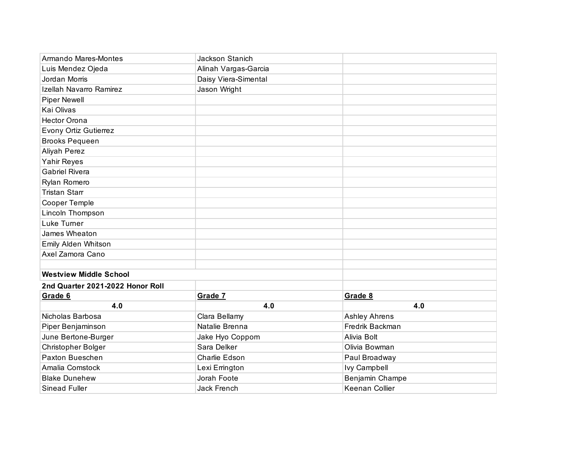| Armando Mares-Montes             | <b>Jackson Stanich</b> |                      |
|----------------------------------|------------------------|----------------------|
| Luis Mendez Ojeda                | Alinah Vargas-Garcia   |                      |
| Jordan Morris                    | Daisy Viera-Simental   |                      |
| Izellah Navarro Ramirez          | Jason Wright           |                      |
| <b>Piper Newell</b>              |                        |                      |
| Kai Olivas                       |                        |                      |
| <b>Hector Orona</b>              |                        |                      |
| Evony Ortiz Gutierrez            |                        |                      |
| <b>Brooks Pequeen</b>            |                        |                      |
| Aliyah Perez                     |                        |                      |
| Yahir Reyes                      |                        |                      |
| <b>Gabriel Rivera</b>            |                        |                      |
| Rylan Romero                     |                        |                      |
| <b>Tristan Starr</b>             |                        |                      |
| Cooper Temple                    |                        |                      |
| Lincoln Thompson                 |                        |                      |
| Luke Turner                      |                        |                      |
| James Wheaton                    |                        |                      |
| Emily Alden Whitson              |                        |                      |
| Axel Zamora Cano                 |                        |                      |
|                                  |                        |                      |
| <b>Westview Middle School</b>    |                        |                      |
| 2nd Quarter 2021-2022 Honor Roll |                        |                      |
| Grade 6                          | Grade 7                | Grade 8              |
| 4.0                              | 4.0                    | 4.0                  |
| Nicholas Barbosa                 | Clara Bellamy          | <b>Ashley Ahrens</b> |
| Piper Benjaminson                | Natalie Brenna         | Fredrik Backman      |
| June Bertone-Burger              | Jake Hyo Coppom        | Alivia Bolt          |
| Christopher Bolger               | Sara Delker            | Olivia Bowman        |
| Paxton Bueschen                  | Charlie Edson          | Paul Broadway        |
| Amalia Comstock                  | Lexi Errington         | <b>Ivy Campbell</b>  |
| <b>Blake Dunehew</b>             | Jorah Foote            | Benjamin Champe      |
| <b>Sinead Fuller</b>             | <b>Jack French</b>     | Keenan Collier       |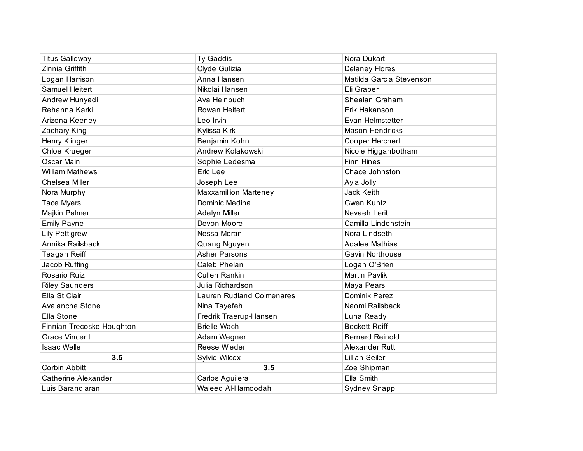| <b>Titus Galloway</b>      | Ty Gaddis                        | Nora Dukart              |
|----------------------------|----------------------------------|--------------------------|
| Zinnia Griffith            | Clyde Gulizia                    | <b>Delaney Flores</b>    |
| Logan Harrison             | Anna Hansen                      | Matilda Garcia Stevenson |
| Samuel Heitert             | Nikolai Hansen                   | Eli Graber               |
| Andrew Hunyadi             | Ava Heinbuch                     | Shealan Graham           |
| Rehanna Karki              | Rowan Heitert                    | Erik Hakanson            |
| Arizona Keeney             | Leo Irvin                        | Evan Helmstetter         |
| Zachary King               | Kylissa Kirk                     | <b>Mason Hendricks</b>   |
| Henry Klinger              | Benjamin Kohn                    | Cooper Herchert          |
| Chloe Krueger              | Andrew Kolakowski                | Nicole Higganbotham      |
| Oscar Main                 | Sophie Ledesma                   | <b>Finn Hines</b>        |
| <b>William Mathews</b>     | Eric Lee                         | Chace Johnston           |
| Chelsea Miller             | Joseph Lee                       | Ayla Jolly               |
| Nora Murphy                | <b>Maxxamillion Marteney</b>     | Jack Keith               |
| <b>Tace Myers</b>          | Dominic Medina                   | <b>Gwen Kuntz</b>        |
| Majkin Palmer              | Adelyn Miller                    | Nevaeh Lerit             |
| <b>Emily Payne</b>         | Devon Moore                      | Camilla Lindenstein      |
| <b>Lily Pettigrew</b>      | Nessa Moran                      | Nora Lindseth            |
| Annika Railsback           | Quang Nguyen                     | <b>Adalee Mathias</b>    |
| <b>Teagan Reiff</b>        | <b>Asher Parsons</b>             | Gavin Northouse          |
| Jacob Ruffing              | Caleb Phelan                     | Logan O'Brien            |
| Rosario Ruiz               | <b>Cullen Rankin</b>             | Martin Pavlik            |
| <b>Riley Saunders</b>      | Julia Richardson                 | Maya Pears               |
| Ella St Clair              | <b>Lauren Rudland Colmenares</b> | Dominik Perez            |
| Avalanche Stone            | Nina Tayefeh                     | Naomi Railsback          |
| Ella Stone                 | Fredrik Traerup-Hansen           | Luna Ready               |
| Finnian Trecoske Houghton  | <b>Brielle Wach</b>              | <b>Beckett Reiff</b>     |
| <b>Grace Vincent</b>       | Adam Wegner                      | <b>Bernard Reinold</b>   |
| <b>Isaac Welle</b>         | Reese Wieder                     | Alexander Rutt           |
| 3.5                        | Sylvie Wilcox                    | <b>Lillian Seiler</b>    |
| Corbin Abbitt              | 3.5                              | Zoe Shipman              |
| <b>Catherine Alexander</b> | Carlos Aguilera                  | Ella Smith               |
| Luis Barandiaran           | Waleed Al-Hamoodah               | <b>Sydney Snapp</b>      |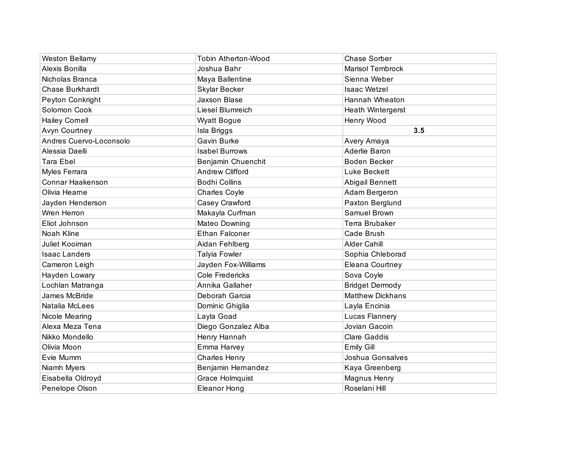| <b>Weston Bellamy</b>   | <b>Tobin Atherton-Wood</b> | Chase Sorber            |
|-------------------------|----------------------------|-------------------------|
| Alexis Bonilla          | Joshua Bahr                | <b>Marisol Tembrock</b> |
| Nicholas Branca         | Maya Ballentine            | Sienna Weber            |
| <b>Chase Burkhardt</b>  | Skylar Becker              | <b>Isaac Wetzel</b>     |
| Peyton Conkright        | <b>Jaxson Blase</b>        | Hannah Wheaton          |
| Solomon Cook            | Liesel Blumreich           | Heath Wintergerst       |
| <b>Hailey Cornell</b>   | <b>Wyatt Bogue</b>         | Henry Wood              |
| Avyn Courtney           | Isla Briggs                | 3.5                     |
| Andres Cuervo-Loconsolo | Gavin Burke                | Avery Amaya             |
| Alessia Daelli          | <b>Isabel Burrows</b>      | Aderlie Baron           |
| <b>Tara Ebel</b>        | Benjamin Chuenchit         | <b>Boden Becker</b>     |
| Myles Ferrara           | <b>Andrew Clifford</b>     | Luke Beckett            |
| Connar Haakenson        | <b>Bodhi Collins</b>       | Abigail Bennett         |
| Olivia Hearne           | <b>Charles Coyle</b>       | Adam Bergeron           |
| Jayden Henderson        | Casey Crawford             | Paxton Berglund         |
| Wren Herron             | Makayla Curfman            | Samuel Brown            |
| Eliot Johnson           | Mateo Downing              | Terra Brubaker          |
| Noah Kline              | <b>Ethan Falconer</b>      | Cade Brush              |
| Juliet Kooiman          | Aidan Fehlberg             | <b>Alder Cahill</b>     |
| <b>Isaac Landers</b>    | Talyia Fowler              | Sophia Chleborad        |
| Cameron Leigh           | Jayden Fox-Williams        | Eleana Courtney         |
| Hayden Lowary           | <b>Cole Fredericks</b>     | Sova Coyle              |
| Lochlan Matranga        | Annika Gallaher            | <b>Bridget Dermody</b>  |
| James McBride           | Deborah Garcia             | <b>Matthew Dickhans</b> |
| Natalia McLees          | Dominic Ghiglia            | Layla Encinia           |
| Nicole Mearing          | Layla Goad                 | Lucas Flannery          |
| Alexa Meza Tena         | Diego Gonzalez Alba        | Jovian Gacoin           |
| Nikko Mondello          | Henry Hannah               | <b>Clare Gaddis</b>     |
| Olivia Moon             | Emma Harvey                | <b>Emily Gill</b>       |
| Evie Mumm               | <b>Charles Henry</b>       | Joshua Gonsalves        |
| Niamh Myers             | Benjamin Hernandez         | Kaya Greenberg          |
| Eisabella Oldroyd       | Grace Holmquist            | Magnus Henry            |
| Penelope Olson          | <b>Eleanor Hong</b>        | Roselani Hill           |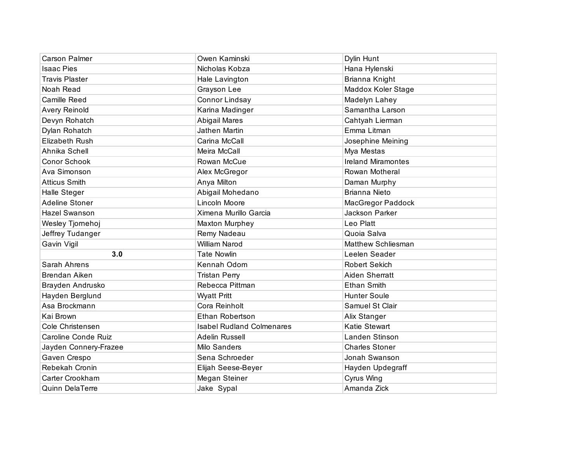| <b>Carson Palmer</b>   | Owen Kaminski                    | Dylin Hunt                |
|------------------------|----------------------------------|---------------------------|
| <b>Isaac Pies</b>      | Nicholas Kobza                   | Hana Hylenski             |
| <b>Travis Plaster</b>  | Hale Lavington                   | Brianna Knight            |
| Noah Read              | Grayson Lee                      | Maddox Koler Stage        |
| Camille Reed           | Connor Lindsay                   | Madelyn Lahey             |
| <b>Avery Reinold</b>   | Karina Madinger                  | Samantha Larson           |
| Devyn Rohatch          | <b>Abigail Mares</b>             | Cahtyah Lierman           |
| Dylan Rohatch          | Jathen Martin                    | Emma Litman               |
| <b>Elizabeth Rush</b>  | Carina McCall                    | Josephine Meining         |
| Ahnika Schell          | Meira McCall                     | Mya Mestas                |
| Conor Schook           | Rowan McCue                      | <b>Ireland Miramontes</b> |
| Ava Simonson           | Alex McGregor                    | Rowan Motheral            |
| <b>Atticus Smith</b>   | Anya Milton                      | Daman Murphy              |
| Halle Steger           | Abigail Mohedano                 | <b>Brianna Nieto</b>      |
| <b>Adeline Stoner</b>  | Lincoln Moore                    | <b>MacGregor Paddock</b>  |
| <b>Hazel Swanson</b>   | Ximena Murillo Garcia            | Jackson Parker            |
| Wesley Tjornehoj       | <b>Maxton Murphey</b>            | Leo Platt                 |
| Jeffrey Tudanger       | Remy Nadeau                      | Quoia Salva               |
| Gavin Vigil            | <b>William Narod</b>             | Matthew Schliesman        |
| 3.0                    | <b>Tate Nowlin</b>               | Leelen Seader             |
| Sarah Ahrens           | Kennah Odom                      | <b>Robert Sekich</b>      |
| <b>Brendan Aiken</b>   | <b>Tristan Perry</b>             | Aiden Sherratt            |
| Brayden Andrusko       | Rebecca Pittman                  | <b>Ethan Smith</b>        |
| Hayden Berglund        | <b>Wyatt Pritt</b>               | <b>Hunter Soule</b>       |
| Asa Brockmann          | Cora Reinholt                    | Samuel St Clair           |
| Kai Brown              | Ethan Robertson                  | Alix Stanger              |
| Cole Christensen       | <b>Isabel Rudland Colmenares</b> | Katie Stewart             |
| Caroline Conde Ruiz    | Adelin Russell                   | Landen Stinson            |
| Jayden Connery-Frazee  | Milo Sanders                     | <b>Charles Stoner</b>     |
| Gaven Crespo           | Sena Schroeder                   | Jonah Swanson             |
| Rebekah Cronin         | Elijah Seese-Beyer               | Hayden Updegraff          |
| Carter Crookham        | Megan Steiner                    | Cyrus Wing                |
| <b>Quinn DelaTerre</b> | Jake Sypal                       | Amanda Zick               |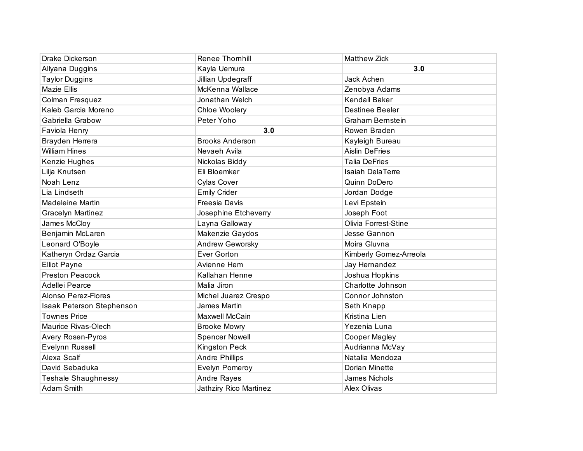| Drake Dickerson            | <b>Renee Thornhill</b> | <b>Matthew Zick</b>     |
|----------------------------|------------------------|-------------------------|
| Allyana Duggins            | Kayla Uemura           | 3.0                     |
| <b>Taylor Duggins</b>      | Jillian Updegraff      | Jack Achen              |
| <b>Mazie Ellis</b>         | McKenna Wallace        | Zenobya Adams           |
| Colman Fresquez            | Jonathan Welch         | <b>Kendall Baker</b>    |
| Kaleb Garcia Moreno        | Chloe Woolery          | <b>Destinee Beeler</b>  |
| Gabriella Grabow           | Peter Yoho             | <b>Graham Bernstein</b> |
| Faviola Henry              | 3.0                    | Rowen Braden            |
| Brayden Herrera            | <b>Brooks Anderson</b> | Kayleigh Bureau         |
| <b>William Hines</b>       | Nevaeh Avila           | <b>Aislin DeFries</b>   |
| Kenzie Hughes              | Nickolas Biddy         | <b>Talia DeFries</b>    |
| Lilja Knutsen              | Eli Bloemker           | <b>Isaiah DelaTerre</b> |
| Noah Lenz                  | <b>Cylas Cover</b>     | Quinn DoDero            |
| Lia Lindseth               | <b>Emily Crider</b>    | Jordan Dodge            |
| Madeleine Martin           | Freesia Davis          | Levi Epstein            |
| <b>Gracelyn Martinez</b>   | Josephine Etcheverry   | Joseph Foot             |
| James McCloy               | Layna Galloway         | Olivia Forrest-Stine    |
| Benjamin McLaren           | Makenzie Gaydos        | Jesse Gannon            |
| Leonard O'Boyle            | Andrew Geworsky        | Moira Gluvna            |
| Katheryn Ordaz Garcia      | Ever Gorton            | Kimberly Gomez-Arreola  |
| <b>Elliot Payne</b>        | Avienne Hem            | Jay Hernandez           |
| <b>Preston Peacock</b>     | Kallahan Henne         | Joshua Hopkins          |
| Adellei Pearce             | Malia Jiron            | Charlotte Johnson       |
| Alonso Perez-Flores        | Michel Juarez Crespo   | Connor Johnston         |
| Isaak Peterson Stephenson  | James Martin           | Seth Knapp              |
| <b>Townes Price</b>        | Maxwell McCain         | Kristina Lien           |
| Maurice Rivas-Olech        | <b>Brooke Mowry</b>    | Yezenia Luna            |
| Avery Rosen-Pyros          | <b>Spencer Nowell</b>  | Cooper Magley           |
| Evelynn Russell            | Kingston Peck          | Audrianna McVay         |
| Alexa Scalf                | <b>Andre Phillips</b>  | Natalia Mendoza         |
| David Sebaduka             | <b>Evelyn Pomeroy</b>  | Dorian Minette          |
| <b>Teshale Shaughnessy</b> | Andre Rayes            | James Nichols           |
| <b>Adam Smith</b>          | Jathziry Rico Martinez | Alex Olivas             |